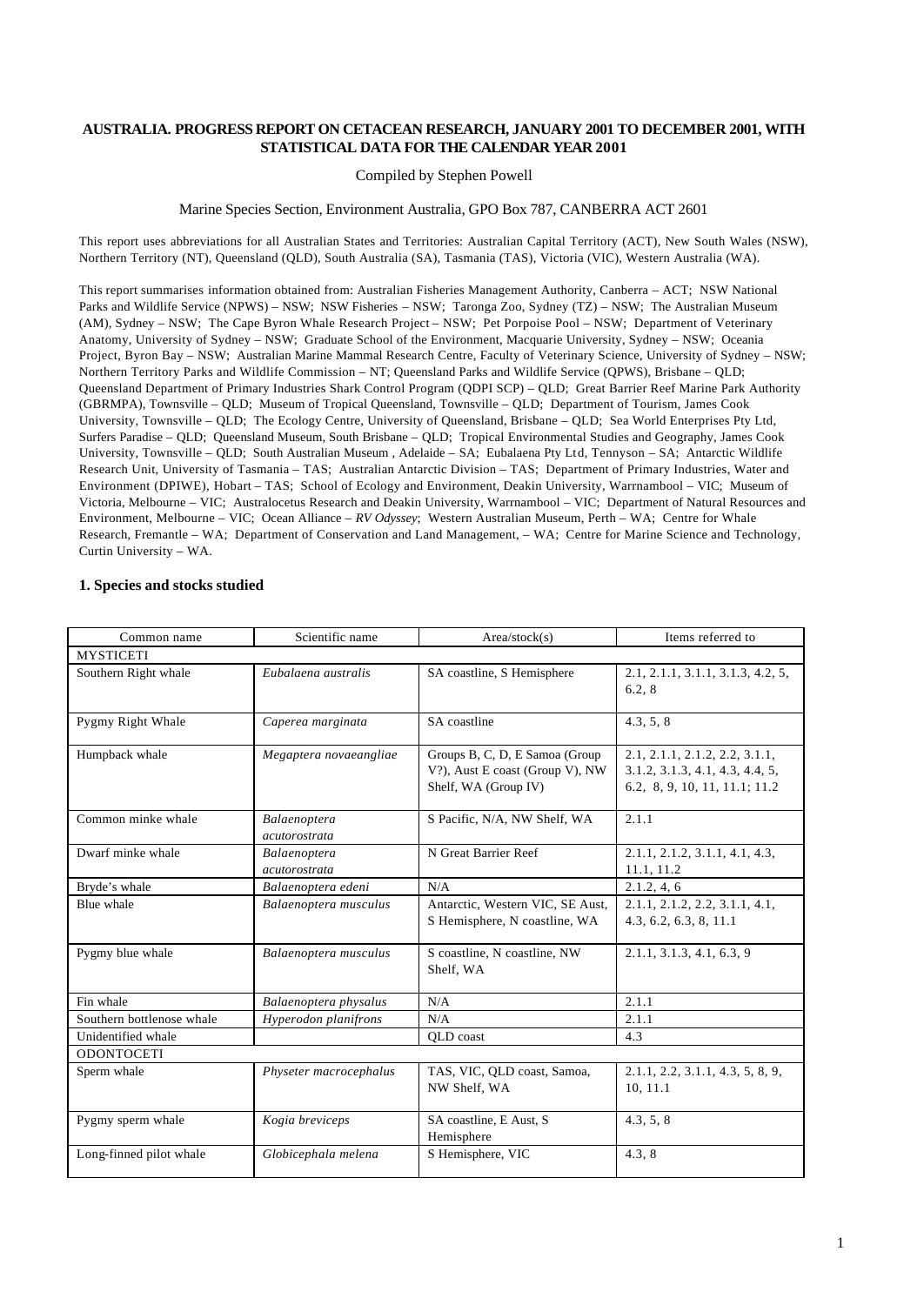## **AUSTRALIA. PROGRESS REPORT ON CETACEAN RESEARCH, JANUARY 2001 TO DECEMBER 2001, WITH STATISTICAL DATA FOR THE CALENDAR YEAR 2001**

### Compiled by Stephen Powell

#### Marine Species Section, Environment Australia, GPO Box 787, CANBERRA ACT 2601

This report uses abbreviations for all Australian States and Territories: Australian Capital Territory (ACT), New South Wales (NSW), Northern Territory (NT), Queensland (QLD), South Australia (SA), Tasmania (TAS), Victoria (VIC), Western Australia (WA).

This report summarises information obtained from: Australian Fisheries Management Authority, Canberra – ACT; NSW National Parks and Wildlife Service (NPWS) – NSW; NSW Fisheries – NSW; Taronga Zoo, Sydney (TZ) – NSW; The Australian Museum (AM), Sydney – NSW; The Cape Byron Whale Research Project – NSW; Pet Porpoise Pool – NSW; Department of Veterinary Anatomy, University of Sydney – NSW; Graduate School of the Environment, Macquarie University, Sydney – NSW; Oceania Project, Byron Bay – NSW; Australian Marine Mammal Research Centre, Faculty of Veterinary Science, University of Sydney – NSW; Northern Territory Parks and Wildlife Commission – NT; Queensland Parks and Wildlife Service (QPWS), Brisbane – QLD; Queensland Department of Primary Industries Shark Control Program (QDPI SCP) – QLD; Great Barrier Reef Marine Park Authority (GBRMPA), Townsville – QLD; Museum of Tropical Queensland, Townsville – QLD; Department of Tourism, James Cook University, Townsville – QLD; The Ecology Centre, University of Queensland, Brisbane – QLD; Sea World Enterprises Pty Ltd, Surfers Paradise – QLD; Queensland Museum, South Brisbane – QLD; Tropical Environmental Studies and Geography, James Cook University, Townsville – QLD; South Australian Museum , Adelaide – SA; Eubalaena Pty Ltd, Tennyson – SA; Antarctic Wildlife Research Unit, University of Tasmania – TAS; Australian Antarctic Division – TAS; Department of Primary Industries, Water and Environment (DPIWE), Hobart – TAS; School of Ecology and Environment, Deakin University, Warrnambool – VIC; Museum of Victoria, Melbourne – VIC; Australocetus Research and Deakin University, Warrnambool – VIC; Department of Natural Resources and Environment, Melbourne – VIC; Ocean Alliance – *RV Odyssey*; Western Australian Museum, Perth – WA; Centre for Whale Research, Fremantle – WA; Department of Conservation and Land Management, – WA; Centre for Marine Science and Technology, Curtin University – WA.

#### **1. Species and stocks studied**

| Common name                                                                                                                            | Scientific name                                                                            | Area/stock(s)                                                                                      | Items referred to                                        |
|----------------------------------------------------------------------------------------------------------------------------------------|--------------------------------------------------------------------------------------------|----------------------------------------------------------------------------------------------------|----------------------------------------------------------|
| <b>MYSTICETI</b>                                                                                                                       |                                                                                            |                                                                                                    |                                                          |
| Southern Right whale                                                                                                                   | Eubalaena australis                                                                        | SA coastline, S Hemisphere                                                                         | 2.1, 2.1.1, 3.1.1, 3.1.3, 4.2, 5,<br>6.2, 8              |
| Pygmy Right Whale                                                                                                                      | Caperea marginata                                                                          | SA coastline                                                                                       | 4.3, 5, 8                                                |
| Humpback whale<br>Groups B, C, D, E Samoa (Group)<br>Megaptera novaeangliae<br>V?), Aust E coast (Group V), NW<br>Shelf, WA (Group IV) |                                                                                            | 2.1, 2.1.1, 2.1.2, 2.2, 3.1.1,<br>3.1.2, 3.1.3, 4.1, 4.3, 4.4, 5,<br>6.2, 8, 9, 10, 11, 11.1; 11.2 |                                                          |
| Common minke whale                                                                                                                     | Balaenoptera<br>acutorostrata                                                              | S Pacific, N/A, NW Shelf, WA                                                                       | 2.1.1                                                    |
| Dwarf minke whale                                                                                                                      | N Great Barrier Reef<br>Balaenoptera<br>acutorostrata                                      |                                                                                                    | 2.1.1, 2.1.2, 3.1.1, 4.1, 4.3,<br>11.1, 11.2             |
| Bryde's whale                                                                                                                          | Balaenoptera edeni                                                                         | N/A                                                                                                | 2.1.2, 4, 6                                              |
| Blue whale                                                                                                                             | Antarctic, Western VIC, SE Aust,<br>Balaenoptera musculus<br>S Hemisphere, N coastline, WA |                                                                                                    | 2.1.1, 2.1.2, 2.2, 3.1.1, 4.1,<br>4.3, 6.2, 6.3, 8, 11.1 |
| Pygmy blue whale<br>Balaenoptera musculus<br>Shelf, WA                                                                                 |                                                                                            | S coastline, N coastline, NW                                                                       | 2.1.1, 3.1.3, 4.1, 6.3, 9                                |
| Fin whale                                                                                                                              | Balaenoptera physalus                                                                      | N/A                                                                                                | 2.1.1                                                    |
| Southern bottlenose whale                                                                                                              | Hyperodon planifrons                                                                       | N/A                                                                                                | 2.1.1                                                    |
| Unidentified whale                                                                                                                     |                                                                                            | QLD coast                                                                                          | 4.3                                                      |
| <b>ODONTOCETI</b>                                                                                                                      |                                                                                            |                                                                                                    |                                                          |
| Sperm whale<br>TAS, VIC, QLD coast, Samoa,<br>Physeter macrocephalus<br>NW Shelf, WA                                                   |                                                                                            | 2.1.1, 2.2, 3.1.1, 4.3, 5, 8, 9,<br>10.11.1                                                        |                                                          |
| Pygmy sperm whale                                                                                                                      | Kogia breviceps                                                                            | SA coastline, E Aust, S<br>Hemisphere                                                              | 4.3, 5, 8                                                |
| Long-finned pilot whale                                                                                                                | Globicephala melena                                                                        | S Hemisphere, VIC                                                                                  | 4.3.8                                                    |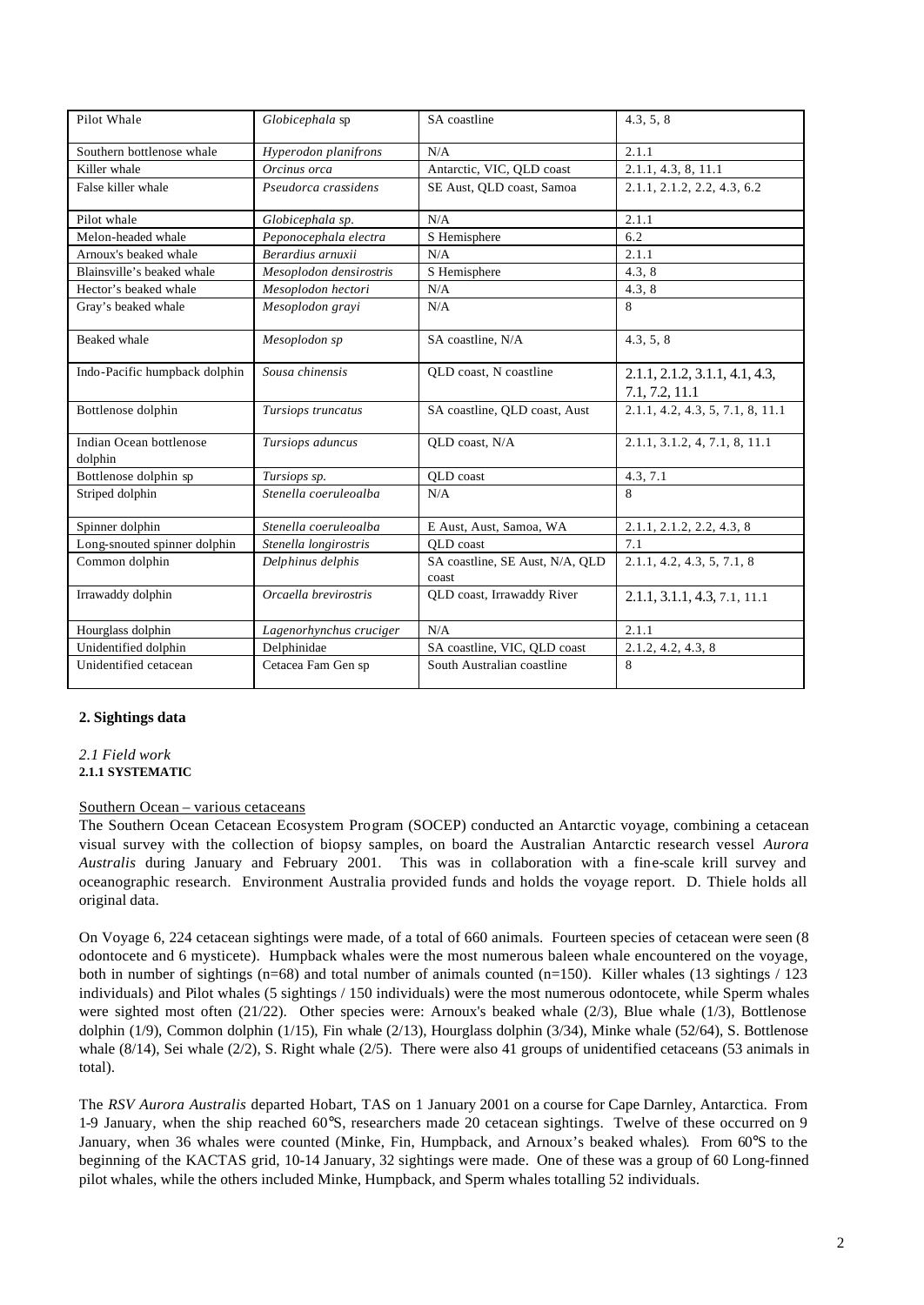| Pilot Whale                        | Globicephala sp         | SA coastline                             | 4.3, 5, 8                                        |
|------------------------------------|-------------------------|------------------------------------------|--------------------------------------------------|
| Southern bottlenose whale          | Hyperodon planifrons    | N/A                                      | 2.1.1                                            |
| Killer whale                       | Orcinus orca            | Antarctic, VIC, QLD coast                | 2.1.1, 4.3, 8, 11.1                              |
| False killer whale                 | Pseudorca crassidens    | SE Aust, QLD coast, Samoa                | 2.1.1, 2.1.2, 2.2, 4.3, 6.2                      |
| Pilot whale                        | Globicephala sp.        | N/A                                      | 2.1.1                                            |
| Melon-headed whale                 | Peponocephala electra   | S Hemisphere                             | 6.2                                              |
| Arnoux's beaked whale              | Berardius arnuxii       | N/A                                      | 2.1.1                                            |
| Blainsville's beaked whale         | Mesoplodon densirostris | S Hemisphere                             | 4.3.8                                            |
| Hector's beaked whale              | Mesoplodon hectori      | N/A                                      | 4.3, 8                                           |
| Gray's beaked whale                | Mesoplodon gravi        | N/A                                      | 8                                                |
| Beaked whale                       | Mesoplodon sp           | SA coastline, N/A                        | 4.3, 5, 8                                        |
| Indo-Pacific humpback dolphin      | Sousa chinensis         | QLD coast, N coastline                   | 2.1.1, 2.1.2, 3.1.1, 4.1, 4.3,<br>7.1, 7.2, 11.1 |
| Bottlenose dolphin                 | Tursiops truncatus      | SA coastline, QLD coast, Aust            | 2.1.1, 4.2, 4.3, 5, 7.1, 8, 11.1                 |
| Indian Ocean bottlenose<br>dolphin | Tursiops aduncus        | QLD coast, N/A                           | 2.1.1, 3.1.2, 4, 7.1, 8, 11.1                    |
| Bottlenose dolphin sp              | Tursiops sp.            | QLD coast                                | 4.3, 7.1                                         |
| Striped dolphin                    | Stenella coeruleoalba   | N/A                                      | 8                                                |
| Spinner dolphin                    | Stenella coeruleoalba   | E Aust, Aust, Samoa, WA                  | 2.1.1, 2.1.2, 2.2, 4.3, 8                        |
| Long-snouted spinner dolphin       | Stenella longirostris   | OLD coast                                | 7.1                                              |
| Common dolphin                     | Delphinus delphis       | SA coastline, SE Aust, N/A, QLD<br>coast | 2.1.1, 4.2, 4.3, 5, 7.1, 8                       |
| Irrawaddy dolphin                  | Orcaella brevirostris   | QLD coast, Irrawaddy River               | 2.1.1, 3.1.1, 4.3, 7.1, 11.1                     |
| Hourglass dolphin                  | Lagenorhynchus cruciger | N/A                                      | 2.1.1                                            |
| Unidentified dolphin               | Delphinidae             | SA coastline, VIC, QLD coast             | 2.1.2, 4.2, 4.3, 8                               |
| Unidentified cetacean              | Cetacea Fam Gen sp      | South Australian coastline               | 8                                                |

## **2. Sightings data**

*2.1 Field work* **2.1.1 SYSTEMATIC**

## Southern Ocean – various cetaceans

The Southern Ocean Cetacean Ecosystem Program (SOCEP) conducted an Antarctic voyage, combining a cetacean visual survey with the collection of biopsy samples, on board the Australian Antarctic research vessel *Aurora Australis* during January and February 2001. This was in collaboration with a fine-scale krill survey and oceanographic research. Environment Australia provided funds and holds the voyage report. D. Thiele holds all original data.

On Voyage 6, 224 cetacean sightings were made, of a total of 660 animals. Fourteen species of cetacean were seen (8 odontocete and 6 mysticete). Humpback whales were the most numerous baleen whale encountered on the voyage, both in number of sightings (n=68) and total number of animals counted (n=150). Killer whales (13 sightings  $/ 123$ individuals) and Pilot whales (5 sightings / 150 individuals) were the most numerous odontocete, while Sperm whales were sighted most often (21/22). Other species were: Arnoux's beaked whale (2/3), Blue whale (1/3), Bottlenose dolphin (1/9), Common dolphin (1/15), Fin whale (2/13), Hourglass dolphin (3/34), Minke whale (52/64), S. Bottlenose whale  $(8/14)$ , Sei whale  $(2/2)$ , S. Right whale  $(2/5)$ . There were also 41 groups of unidentified cetaceans (53 animals in total).

The *RSV Aurora Australis* departed Hobart, TAS on 1 January 2001 on a course for Cape Darnley, Antarctica. From 1-9 January, when the ship reached 60°S, researchers made 20 cetacean sightings. Twelve of these occurred on 9 January, when 36 whales were counted (Minke, Fin, Humpback, and Arnoux's beaked whales). From 60°S to the beginning of the KACTAS grid, 10-14 January, 32 sightings were made. One of these was a group of 60 Long-finned pilot whales, while the others included Minke, Humpback, and Sperm whales totalling 52 individuals.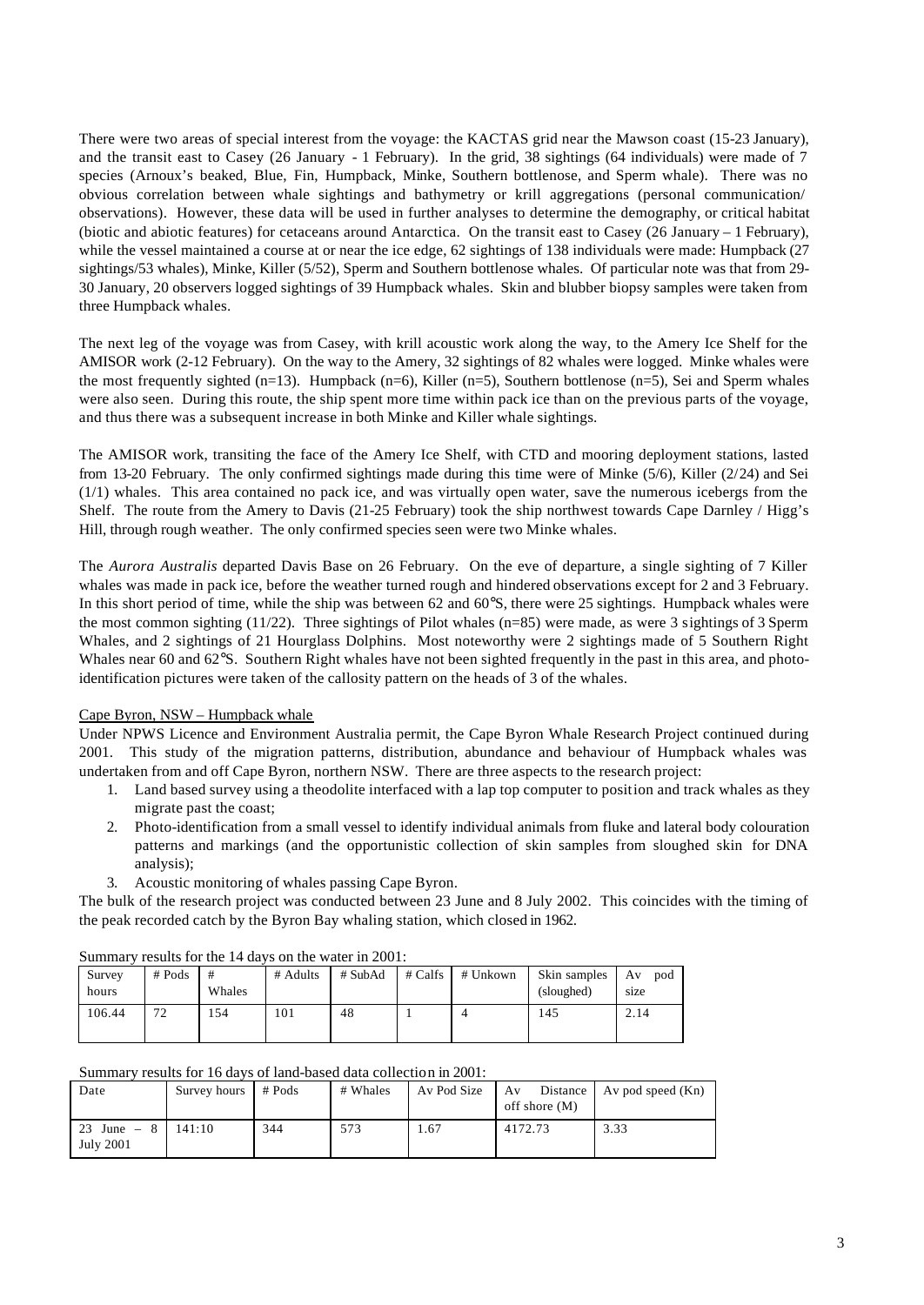There were two areas of special interest from the voyage: the KACTAS grid near the Mawson coast (15-23 January), and the transit east to Casey (26 January - 1 February). In the grid, 38 sightings (64 individuals) were made of 7 species (Arnoux's beaked, Blue, Fin, Humpback, Minke, Southern bottlenose, and Sperm whale). There was no obvious correlation between whale sightings and bathymetry or krill aggregations (personal communication/ observations). However, these data will be used in further analyses to determine the demography, or critical habitat (biotic and abiotic features) for cetaceans around Antarctica. On the transit east to Casey (26 January – 1 February), while the vessel maintained a course at or near the ice edge, 62 sightings of 138 individuals were made: Humpback (27 sightings/53 whales), Minke, Killer (5/52), Sperm and Southern bottlenose whales. Of particular note was that from 29- 30 January, 20 observers logged sightings of 39 Humpback whales. Skin and blubber biopsy samples were taken from three Humpback whales.

The next leg of the voyage was from Casey, with krill acoustic work along the way, to the Amery Ice Shelf for the AMISOR work (2-12 February). On the way to the Amery, 32 sightings of 82 whales were logged. Minke whales were the most frequently sighted (n=13). Humpback (n=6), Killer (n=5), Southern bottlenose (n=5), Sei and Sperm whales were also seen. During this route, the ship spent more time within pack ice than on the previous parts of the voyage, and thus there was a subsequent increase in both Minke and Killer whale sightings.

The AMISOR work, transiting the face of the Amery Ice Shelf, with CTD and mooring deployment stations, lasted from 13-20 February. The only confirmed sightings made during this time were of Minke (5/6), Killer (2/24) and Sei (1/1) whales. This area contained no pack ice, and was virtually open water, save the numerous icebergs from the Shelf. The route from the Amery to Davis (21-25 February) took the ship northwest towards Cape Darnley / Higg's Hill, through rough weather. The only confirmed species seen were two Minke whales.

The *Aurora Australis* departed Davis Base on 26 February. On the eve of departure, a single sighting of 7 Killer whales was made in pack ice, before the weather turned rough and hindered observations except for 2 and 3 February. In this short period of time, while the ship was between 62 and 60°S, there were 25 sightings. Humpback whales were the most common sighting  $(11/22)$ . Three sightings of Pilot whales (n=85) were made, as were 3 sightings of 3 Sperm Whales, and 2 sightings of 21 Hourglass Dolphins. Most noteworthy were 2 sightings made of 5 Southern Right Whales near 60 and 62°S. Southern Right whales have not been sighted frequently in the past in this area, and photoidentification pictures were taken of the callosity pattern on the heads of 3 of the whales.

## Cape Byron, NSW – Humpback whale

Under NPWS Licence and Environment Australia permit, the Cape Byron Whale Research Project continued during 2001. This study of the migration patterns, distribution, abundance and behaviour of Humpback whales was undertaken from and off Cape Byron, northern NSW. There are three aspects to the research project:

- 1. Land based survey using a theodolite interfaced with a lap top computer to position and track whales as they migrate past the coast;
- 2. Photo-identification from a small vessel to identify individual animals from fluke and lateral body colouration patterns and markings (and the opportunistic collection of skin samples from sloughed skin for DNA analysis);
- 3. Acoustic monitoring of whales passing Cape Byron.

The bulk of the research project was conducted between 23 June and 8 July 2002. This coincides with the timing of the peak recorded catch by the Byron Bay whaling station, which closed in 1962.

| wullliul 1 |          |        |          |         |           |          |              |           |  |
|------------|----------|--------|----------|---------|-----------|----------|--------------|-----------|--|
| Survey     | $#$ Pods | #      | # Adults | # SubAd | $#$ Calfs | # Unkown | Skin samples | pod<br>Av |  |
| hours      |          | Whales |          |         |           |          | (sloughed)   | size      |  |
| 106.44     | 72<br>∠  | 154    | 101      | 48      |           |          | 145          | 2.14      |  |
|            |          |        |          |         |           |          |              |           |  |

Summary results for the 14 days on the water in  $2001$ .

| Summary results for 16 days of land-based data collection in 2001: |                     |     |          |      |               |                                               |  |  |  |
|--------------------------------------------------------------------|---------------------|-----|----------|------|---------------|-----------------------------------------------|--|--|--|
| Date                                                               | Survey hours # Pods |     | # Whales |      | off shore (M) | Av Pod Size   Av Distance   Av pod speed (Kn) |  |  |  |
| 23 June $-8$   141:10<br>July 2001                                 |                     | 344 | 573      | 1.67 | 4172.73       | 3.33                                          |  |  |  |

### Summary results for 16 days of land-based data collection in 2001: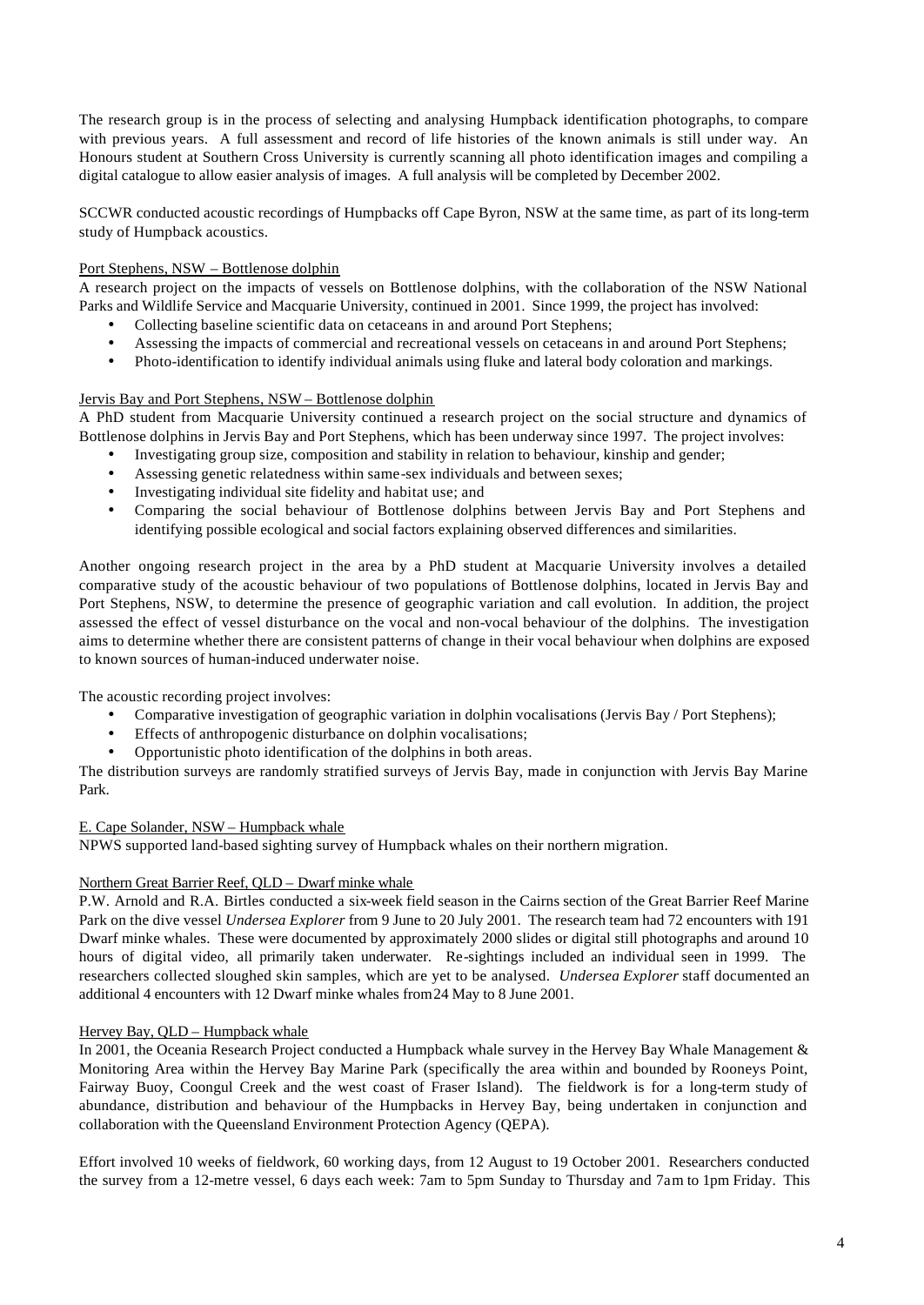The research group is in the process of selecting and analysing Humpback identification photographs, to compare with previous years. A full assessment and record of life histories of the known animals is still under way. An Honours student at Southern Cross University is currently scanning all photo identification images and compiling a digital catalogue to allow easier analysis of images. A full analysis will be completed by December 2002.

SCCWR conducted acoustic recordings of Humpbacks off Cape Byron, NSW at the same time, as part of its long-term study of Humpback acoustics.

## Port Stephens, NSW – Bottlenose dolphin

A research project on the impacts of vessels on Bottlenose dolphins, with the collaboration of the NSW National Parks and Wildlife Service and Macquarie University, continued in 2001. Since 1999, the project has involved:

- Collecting baseline scientific data on cetaceans in and around Port Stephens;
- Assessing the impacts of commercial and recreational vessels on cetaceans in and around Port Stephens;
- Photo-identification to identify individual animals using fluke and lateral body coloration and markings.

## Jervis Bay and Port Stephens, NSW – Bottlenose dolphin

A PhD student from Macquarie University continued a research project on the social structure and dynamics of Bottlenose dolphins in Jervis Bay and Port Stephens, which has been underway since 1997. The project involves:

- Investigating group size, composition and stability in relation to behaviour, kinship and gender;
- Assessing genetic relatedness within same-sex individuals and between sexes;
- Investigating individual site fidelity and habitat use; and
- Comparing the social behaviour of Bottlenose dolphins between Jervis Bay and Port Stephens and identifying possible ecological and social factors explaining observed differences and similarities.

Another ongoing research project in the area by a PhD student at Macquarie University involves a detailed comparative study of the acoustic behaviour of two populations of Bottlenose dolphins, located in Jervis Bay and Port Stephens, NSW, to determine the presence of geographic variation and call evolution. In addition, the project assessed the effect of vessel disturbance on the vocal and non-vocal behaviour of the dolphins. The investigation aims to determine whether there are consistent patterns of change in their vocal behaviour when dolphins are exposed to known sources of human-induced underwater noise.

The acoustic recording project involves:

- Comparative investigation of geographic variation in dolphin vocalisations (Jervis Bay / Port Stephens);
- Effects of anthropogenic disturbance on dolphin vocalisations;
- Opportunistic photo identification of the dolphins in both areas.

The distribution surveys are randomly stratified surveys of Jervis Bay, made in conjunction with Jervis Bay Marine Park.

## E. Cape Solander, NSW – Humpback whale

NPWS supported land-based sighting survey of Humpback whales on their northern migration.

## Northern Great Barrier Reef, QLD – Dwarf minke whale

P.W. Arnold and R.A. Birtles conducted a six-week field season in the Cairns section of the Great Barrier Reef Marine Park on the dive vessel *Undersea Explorer* from 9 June to 20 July 2001. The research team had 72 encounters with 191 Dwarf minke whales. These were documented by approximately 2000 slides or digital still photographs and around 10 hours of digital video, all primarily taken underwater. Re-sightings included an individual seen in 1999. The researchers collected sloughed skin samples, which are yet to be analysed. *Undersea Explorer* staff documented an additional 4 encounters with 12 Dwarf minke whales from 24 May to 8 June 2001.

## Hervey Bay, QLD – Humpback whale

In 2001, the Oceania Research Project conducted a Humpback whale survey in the Hervey Bay Whale Management & Monitoring Area within the Hervey Bay Marine Park (specifically the area within and bounded by Rooneys Point, Fairway Buoy, Coongul Creek and the west coast of Fraser Island). The fieldwork is for a long-term study of abundance, distribution and behaviour of the Humpbacks in Hervey Bay, being undertaken in conjunction and collaboration with the Queensland Environment Protection Agency (QEPA).

Effort involved 10 weeks of fieldwork, 60 working days, from 12 August to 19 October 2001. Researchers conducted the survey from a 12-metre vessel, 6 days each week: 7am to 5pm Sunday to Thursday and 7am to 1pm Friday. This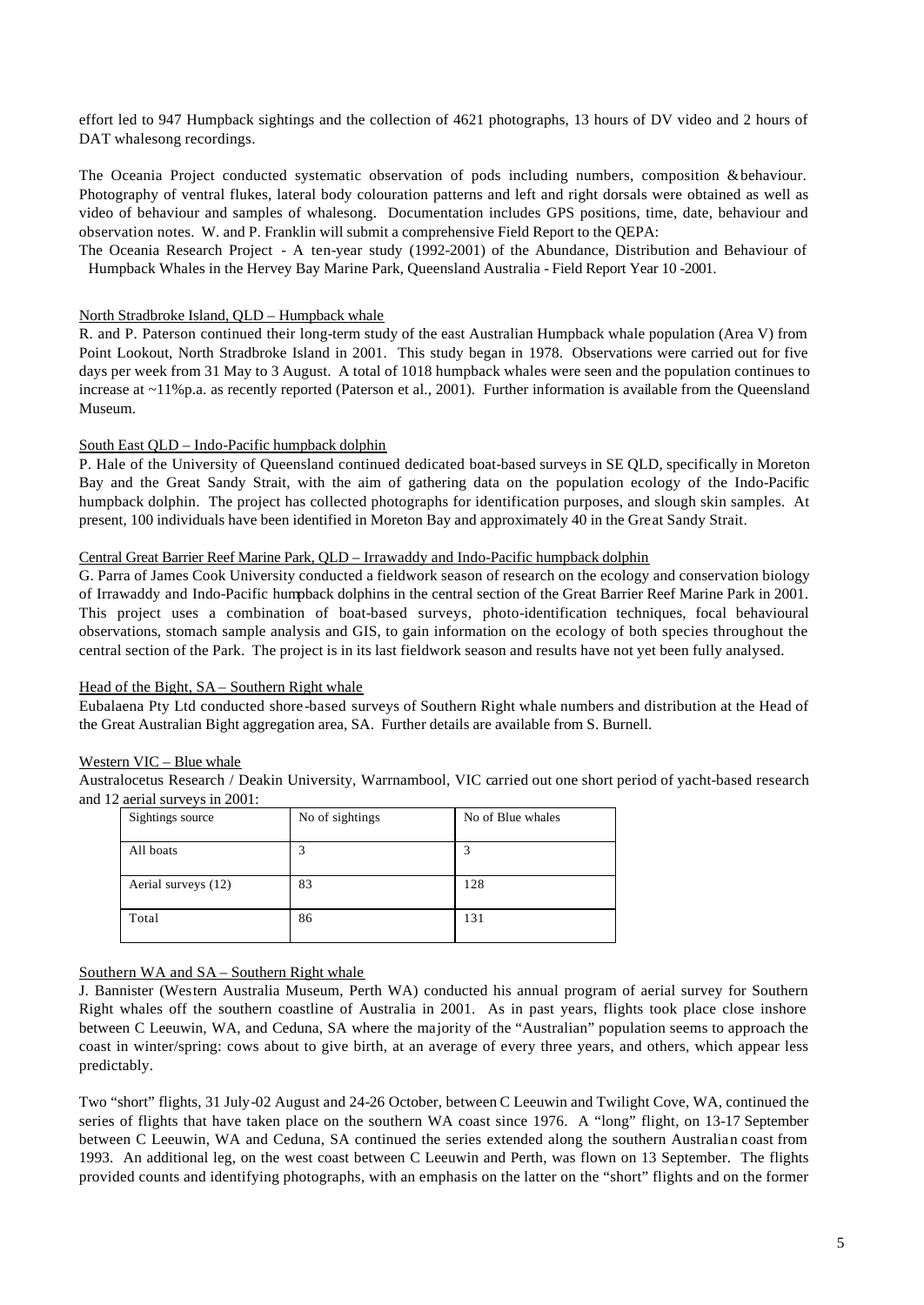effort led to 947 Humpback sightings and the collection of 4621 photographs, 13 hours of DV video and 2 hours of DAT whalesong recordings.

The Oceania Project conducted systematic observation of pods including numbers, composition & behaviour. Photography of ventral flukes, lateral body colouration patterns and left and right dorsals were obtained as well as video of behaviour and samples of whalesong. Documentation includes GPS positions, time, date, behaviour and observation notes. W. and P. Franklin will submit a comprehensive Field Report to the QEPA:

The Oceania Research Project - A ten-year study (1992-2001) of the Abundance, Distribution and Behaviour of Humpback Whales in the Hervey Bay Marine Park, Queensland Australia - Field Report Year 10 -2001.

## North Stradbroke Island, QLD – Humpback whale

R. and P. Paterson continued their long-term study of the east Australian Humpback whale population (Area V) from Point Lookout, North Stradbroke Island in 2001. This study began in 1978. Observations were carried out for five days per week from 31 May to 3 August. A total of 1018 humpback whales were seen and the population continues to increase at ~11%p.a. as recently reported (Paterson et al., 2001). Further information is available from the Queensland Museum.

### South East QLD – Indo-Pacific humpback dolphin

P. Hale of the University of Queensland continued dedicated boat-based surveys in SE QLD, specifically in Moreton Bay and the Great Sandy Strait, with the aim of gathering data on the population ecology of the Indo-Pacific humpback dolphin. The project has collected photographs for identification purposes, and slough skin samples. At present, 100 individuals have been identified in Moreton Bay and approximately 40 in the Great Sandy Strait.

### Central Great Barrier Reef Marine Park, QLD – Irrawaddy and Indo-Pacific humpback dolphin

G. Parra of James Cook University conducted a fieldwork season of research on the ecology and conservation biology of Irrawaddy and Indo-Pacific humpback dolphins in the central section of the Great Barrier Reef Marine Park in 2001. This project uses a combination of boat-based surveys, photo-identification techniques, focal behavioural observations, stomach sample analysis and GIS, to gain information on the ecology of both species throughout the central section of the Park. The project is in its last fieldwork season and results have not yet been fully analysed.

### Head of the Bight, SA – Southern Right whale

Eubalaena Pty Ltd conducted shore-based surveys of Southern Right whale numbers and distribution at the Head of the Great Australian Bight aggregation area, SA. Further details are available from S. Burnell.

### Western VIC – Blue whale

Australocetus Research / Deakin University, Warrnambool, VIC carried out one short period of yacht-based research and 12 aerial surveys in 2001:

| Sightings source    | No of sightings | No of Blue whales |
|---------------------|-----------------|-------------------|
| All boats           |                 | 3                 |
| Aerial surveys (12) | 83              | 128               |
| Total               | 86              | 131               |

## Southern WA and SA – Southern Right whale

J. Bannister (Western Australia Museum, Perth WA) conducted his annual program of aerial survey for Southern Right whales off the southern coastline of Australia in 2001. As in past years, flights took place close inshore between C Leeuwin, WA, and Ceduna, SA where the majority of the "Australian" population seems to approach the coast in winter/spring: cows about to give birth, at an average of every three years, and others, which appear less predictably.

Two "short" flights, 31 July-02 August and 24-26 October, between C Leeuwin and Twilight Cove, WA, continued the series of flights that have taken place on the southern WA coast since 1976. A "long" flight, on 13-17 September between C Leeuwin, WA and Ceduna, SA continued the series extended along the southern Australian coast from 1993. An additional leg, on the west coast between C Leeuwin and Perth, was flown on 13 September. The flights provided counts and identifying photographs, with an emphasis on the latter on the "short" flights and on the former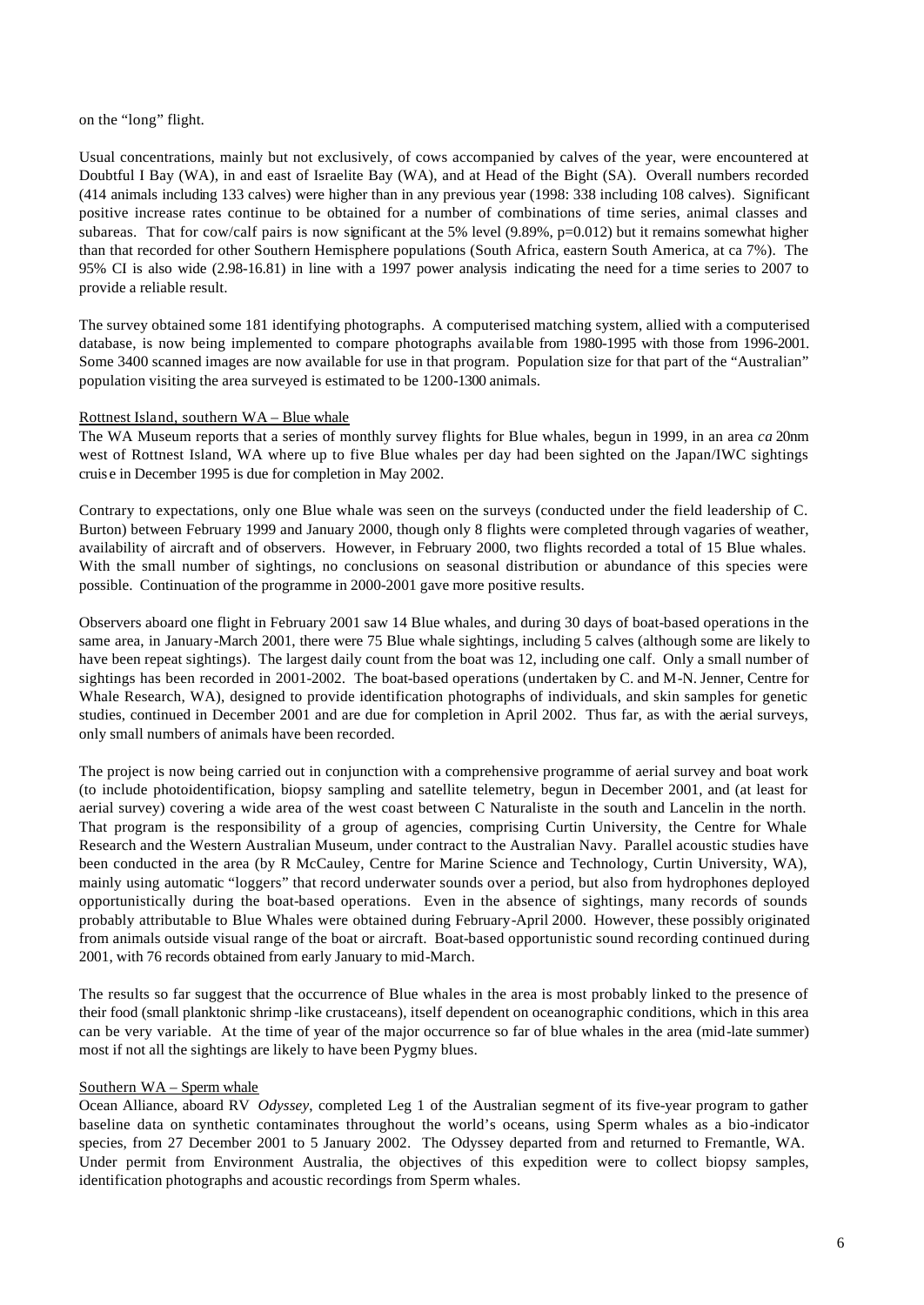on the "long" flight.

Usual concentrations, mainly but not exclusively, of cows accompanied by calves of the year, were encountered at Doubtful I Bay (WA), in and east of Israelite Bay (WA), and at Head of the Bight (SA). Overall numbers recorded (414 animals including 133 calves) were higher than in any previous year (1998: 338 including 108 calves). Significant positive increase rates continue to be obtained for a number of combinations of time series, animal classes and subareas. That for cow/calf pairs is now significant at the 5% level (9.89%, p=0.012) but it remains somewhat higher than that recorded for other Southern Hemisphere populations (South Africa, eastern South America, at ca 7%). The 95% CI is also wide (2.98-16.81) in line with a 1997 power analysis indicating the need for a time series to 2007 to provide a reliable result.

The survey obtained some 181 identifying photographs. A computerised matching system, allied with a computerised database, is now being implemented to compare photographs available from 1980-1995 with those from 1996-2001. Some 3400 scanned images are now available for use in that program. Population size for that part of the "Australian" population visiting the area surveyed is estimated to be 1200-1300 animals.

### Rottnest Island, southern WA – Blue whale

The WA Museum reports that a series of monthly survey flights for Blue whales, begun in 1999, in an area *ca* 20nm west of Rottnest Island, WA where up to five Blue whales per day had been sighted on the Japan/IWC sightings cruis e in December 1995 is due for completion in May 2002.

Contrary to expectations, only one Blue whale was seen on the surveys (conducted under the field leadership of C. Burton) between February 1999 and January 2000, though only 8 flights were completed through vagaries of weather, availability of aircraft and of observers. However, in February 2000, two flights recorded a total of 15 Blue whales. With the small number of sightings, no conclusions on seasonal distribution or abundance of this species were possible. Continuation of the programme in 2000-2001 gave more positive results.

Observers aboard one flight in February 2001 saw 14 Blue whales, and during 30 days of boat-based operations in the same area, in January-March 2001, there were 75 Blue whale sightings, including 5 calves (although some are likely to have been repeat sightings). The largest daily count from the boat was 12, including one calf. Only a small number of sightings has been recorded in 2001-2002. The boat-based operations (undertaken by C. and M-N. Jenner, Centre for Whale Research, WA), designed to provide identification photographs of individuals, and skin samples for genetic studies, continued in December 2001 and are due for completion in April 2002. Thus far, as with the aerial surveys, only small numbers of animals have been recorded.

The project is now being carried out in conjunction with a comprehensive programme of aerial survey and boat work (to include photoidentification, biopsy sampling and satellite telemetry, begun in December 2001, and (at least for aerial survey) covering a wide area of the west coast between C Naturaliste in the south and Lancelin in the north. That program is the responsibility of a group of agencies, comprising Curtin University, the Centre for Whale Research and the Western Australian Museum, under contract to the Australian Navy. Parallel acoustic studies have been conducted in the area (by R McCauley, Centre for Marine Science and Technology, Curtin University, WA), mainly using automatic "loggers" that record underwater sounds over a period, but also from hydrophones deployed opportunistically during the boat-based operations. Even in the absence of sightings, many records of sounds probably attributable to Blue Whales were obtained during February-April 2000. However, these possibly originated from animals outside visual range of the boat or aircraft. Boat-based opportunistic sound recording continued during 2001, with 76 records obtained from early January to mid-March.

The results so far suggest that the occurrence of Blue whales in the area is most probably linked to the presence of their food (small planktonic shrimp -like crustaceans), itself dependent on oceanographic conditions, which in this area can be very variable. At the time of year of the major occurrence so far of blue whales in the area (mid-late summer) most if not all the sightings are likely to have been Pygmy blues.

## Southern WA – Sperm whale

Ocean Alliance, aboard RV *Odyssey*, completed Leg 1 of the Australian segment of its five-year program to gather baseline data on synthetic contaminates throughout the world's oceans, using Sperm whales as a bio-indicator species, from 27 December 2001 to 5 January 2002. The Odyssey departed from and returned to Fremantle, WA. Under permit from Environment Australia, the objectives of this expedition were to collect biopsy samples, identification photographs and acoustic recordings from Sperm whales.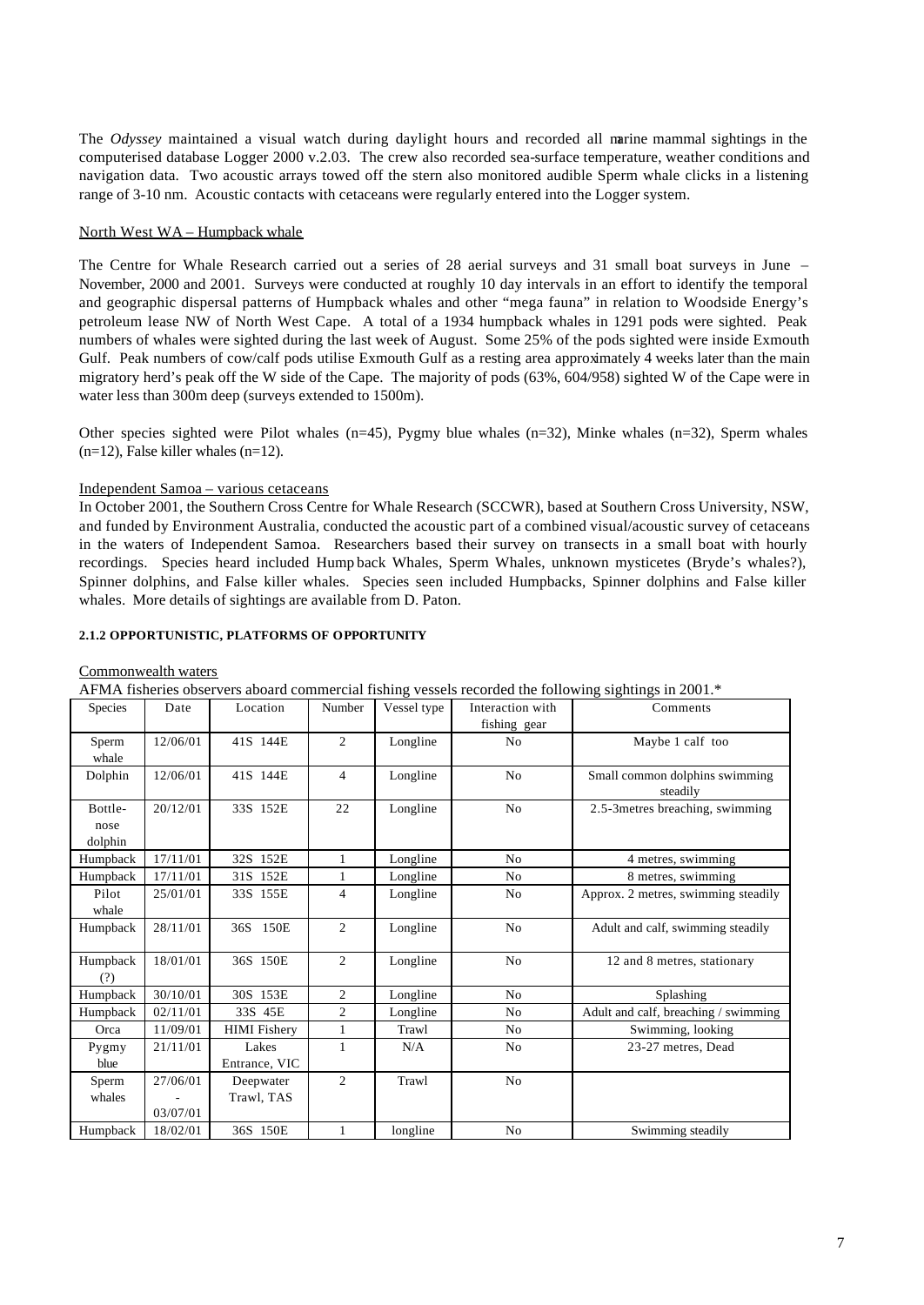The *Odyssey* maintained a visual watch during daylight hours and recorded all marine mammal sightings in the computerised database Logger 2000 v.2.03. The crew also recorded sea-surface temperature, weather conditions and navigation data. Two acoustic arrays towed off the stern also monitored audible Sperm whale clicks in a listening range of 3-10 nm. Acoustic contacts with cetaceans were regularly entered into the Logger system.

## North West WA – Humpback whale

The Centre for Whale Research carried out a series of 28 aerial surveys and 31 small boat surveys in June – November, 2000 and 2001. Surveys were conducted at roughly 10 day intervals in an effort to identify the temporal and geographic dispersal patterns of Humpback whales and other "mega fauna" in relation to Woodside Energy's petroleum lease NW of North West Cape. A total of a 1934 humpback whales in 1291 pods were sighted. Peak numbers of whales were sighted during the last week of August. Some 25% of the pods sighted were inside Exmouth Gulf. Peak numbers of cow/calf pods utilise Exmouth Gulf as a resting area approximately 4 weeks later than the main migratory herd's peak off the W side of the Cape. The majority of pods (63%, 604/958) sighted W of the Cape were in water less than 300m deep (surveys extended to 1500m).

Other species sighted were Pilot whales  $(n=45)$ , Pygmy blue whales  $(n=32)$ , Minke whales  $(n=32)$ , Sperm whales  $(n=12)$ , False killer whales  $(n=12)$ .

### Independent Samoa – various cetaceans

In October 2001, the Southern Cross Centre for Whale Research (SCCWR), based at Southern Cross University, NSW, and funded by Environment Australia, conducted the acoustic part of a combined visual/acoustic survey of cetaceans in the waters of Independent Samoa. Researchers based their survey on transects in a small boat with hourly recordings. Species heard included Hump back Whales, Sperm Whales, unknown mysticetes (Bryde's whales?), Spinner dolphins, and False killer whales. Species seen included Humpbacks, Spinner dolphins and False killer whales. More details of sightings are available from D. Paton.

## **2.1.2 OPPORTUNISTIC, PLATFORMS OF OPPORTUNITY**

### Commonwealth waters

| Species         | Date     | Location            | Number         | Vessel type | Interaction with | Comments                                   |
|-----------------|----------|---------------------|----------------|-------------|------------------|--------------------------------------------|
|                 |          |                     |                |             | fishing gear     |                                            |
| Sperm           | 12/06/01 | 41S 144E            | 2              | Longline    | N <sub>o</sub>   | Maybe 1 calf too                           |
| whale           |          |                     |                |             |                  |                                            |
| Dolphin         | 12/06/01 | 41S 144E            | 4              | Longline    | No               | Small common dolphins swimming<br>steadily |
| Bottle-         | 20/12/01 | 33S 152E            | 22             | Longline    | N <sub>o</sub>   | 2.5-3 metres breaching, swimming           |
| nose            |          |                     |                |             |                  |                                            |
| dolphin         |          |                     |                |             |                  |                                            |
| Humpback        | 17/11/01 | 32S 152E            | $\mathbf{1}$   | Longline    | N <sub>o</sub>   | 4 metres, swimming                         |
| Humpback        | 17/11/01 | 31S 152E            | 1              | Longline    | No               | 8 metres, swimming                         |
| Pilot           | 25/01/01 | 33S 155E            | 4              | Longline    | No               | Approx. 2 metres, swimming steadily        |
| whale           |          |                     |                |             |                  |                                            |
| Humpback        | 28/11/01 | 36S 150E            | 2              | Longline    | No               | Adult and calf, swimming steadily          |
| Humpback<br>(?) | 18/01/01 | 36S 150E            | 2              | Longline    | N <sub>o</sub>   | 12 and 8 metres, stationary                |
| Humpback        | 30/10/01 | 30S 153E            | $\overline{c}$ | Longline    | N <sub>0</sub>   | Splashing                                  |
| Humpback        | 02/11/01 | 33S 45E             | $\overline{c}$ | Longline    | No               | Adult and calf, breaching / swimming       |
| Orca            | 11/09/01 | <b>HIMI</b> Fishery | 1              | Trawl       | No               | Swimming, looking                          |
| Pygmy           | 21/11/01 | Lakes               | $\mathbf{1}$   | N/A         | No               | 23-27 metres, Dead                         |
| blue            |          | Entrance, VIC       |                |             |                  |                                            |
| Sperm           | 27/06/01 | Deepwater           | $\overline{c}$ | Trawl       | No               |                                            |
| whales          |          | Trawl, TAS          |                |             |                  |                                            |
|                 | 03/07/01 |                     |                |             |                  |                                            |
| Humpback        | 18/02/01 | 36S 150E            | $\mathbf{1}$   | longline    | N <sub>o</sub>   | Swimming steadily                          |

AFMA fisheries observers aboard commercial fishing vessels recorded the following sightings in 2001.\*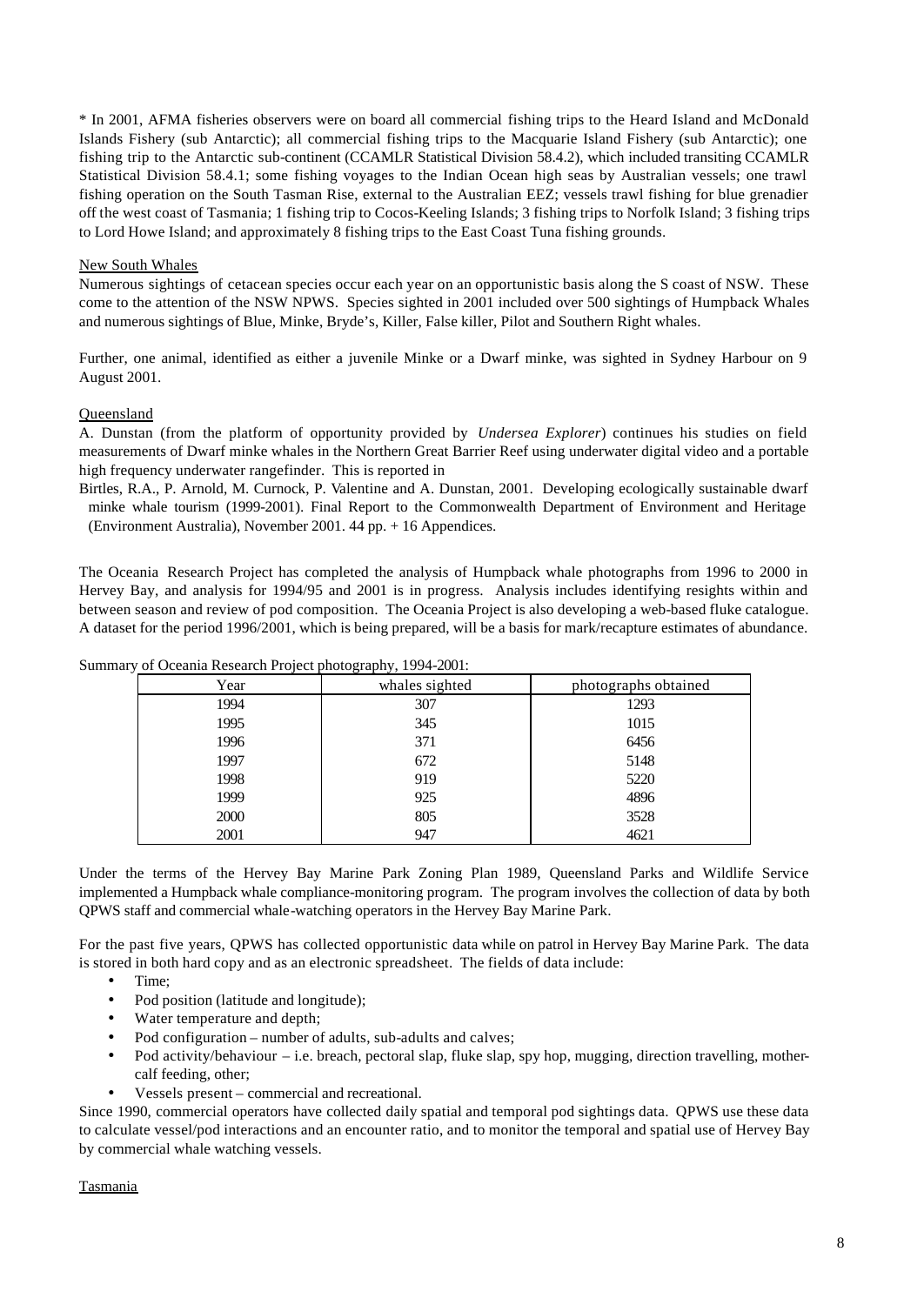\* In 2001, AFMA fisheries observers were on board all commercial fishing trips to the Heard Island and McDonald Islands Fishery (sub Antarctic); all commercial fishing trips to the Macquarie Island Fishery (sub Antarctic); one fishing trip to the Antarctic sub-continent (CCAMLR Statistical Division 58.4.2), which included transiting CCAMLR Statistical Division 58.4.1; some fishing voyages to the Indian Ocean high seas by Australian vessels; one trawl fishing operation on the South Tasman Rise, external to the Australian EEZ; vessels trawl fishing for blue grenadier off the west coast of Tasmania; 1 fishing trip to Cocos-Keeling Islands; 3 fishing trips to Norfolk Island; 3 fishing trips to Lord Howe Island; and approximately 8 fishing trips to the East Coast Tuna fishing grounds.

## New South Whales

Numerous sightings of cetacean species occur each year on an opportunistic basis along the S coast of NSW. These come to the attention of the NSW NPWS. Species sighted in 2001 included over 500 sightings of Humpback Whales and numerous sightings of Blue, Minke, Bryde's, Killer, False killer, Pilot and Southern Right whales.

Further, one animal, identified as either a juvenile Minke or a Dwarf minke, was sighted in Sydney Harbour on 9 August 2001.

## **Oueensland**

A. Dunstan (from the platform of opportunity provided by *Undersea Explorer*) continues his studies on field measurements of Dwarf minke whales in the Northern Great Barrier Reef using underwater digital video and a portable high frequency underwater rangefinder. This is reported in

Birtles, R.A., P. Arnold, M. Curnock, P. Valentine and A. Dunstan, 2001. Developing ecologically sustainable dwarf minke whale tourism (1999-2001). Final Report to the Commonwealth Department of Environment and Heritage (Environment Australia), November 2001. 44 pp. + 16 Appendices.

The Oceania Research Project has completed the analysis of Humpback whale photographs from 1996 to 2000 in Hervey Bay, and analysis for 1994/95 and 2001 is in progress. Analysis includes identifying resights within and between season and review of pod composition. The Oceania Project is also developing a web-based fluke catalogue. A dataset for the period 1996/2001, which is being prepared, will be a basis for mark/recapture estimates of abundance.

| .    | $\sim$         |                      |
|------|----------------|----------------------|
| Year | whales sighted | photographs obtained |
| 1994 | 307            | 1293                 |
| 1995 | 345            | 1015                 |
| 1996 | 371            | 6456                 |
| 1997 | 672            | 5148                 |
| 1998 | 919            | 5220                 |
| 1999 | 925            | 4896                 |
| 2000 | 805            | 3528                 |
| 2001 | 947            | 4621                 |

Summary of Oceania Research Project photography, 1994-2001:

Under the terms of the Hervey Bay Marine Park Zoning Plan 1989, Queensland Parks and Wildlife Service implemented a Humpback whale compliance-monitoring program. The program involves the collection of data by both QPWS staff and commercial whale-watching operators in the Hervey Bay Marine Park.

For the past five years, QPWS has collected opportunistic data while on patrol in Hervey Bay Marine Park. The data is stored in both hard copy and as an electronic spreadsheet. The fields of data include:

- Time;
- Pod position (latitude and longitude);
- Water temperature and depth;
- Pod configuration number of adults, sub-adults and calves;
- Pod activity/behaviour i.e. breach, pectoral slap, fluke slap, spy hop, mugging, direction travelling, mothercalf feeding, other;
- Vessels present commercial and recreational.

Since 1990, commercial operators have collected daily spatial and temporal pod sightings data. QPWS use these data to calculate vessel/pod interactions and an encounter ratio, and to monitor the temporal and spatial use of Hervey Bay by commercial whale watching vessels.

### Tasmania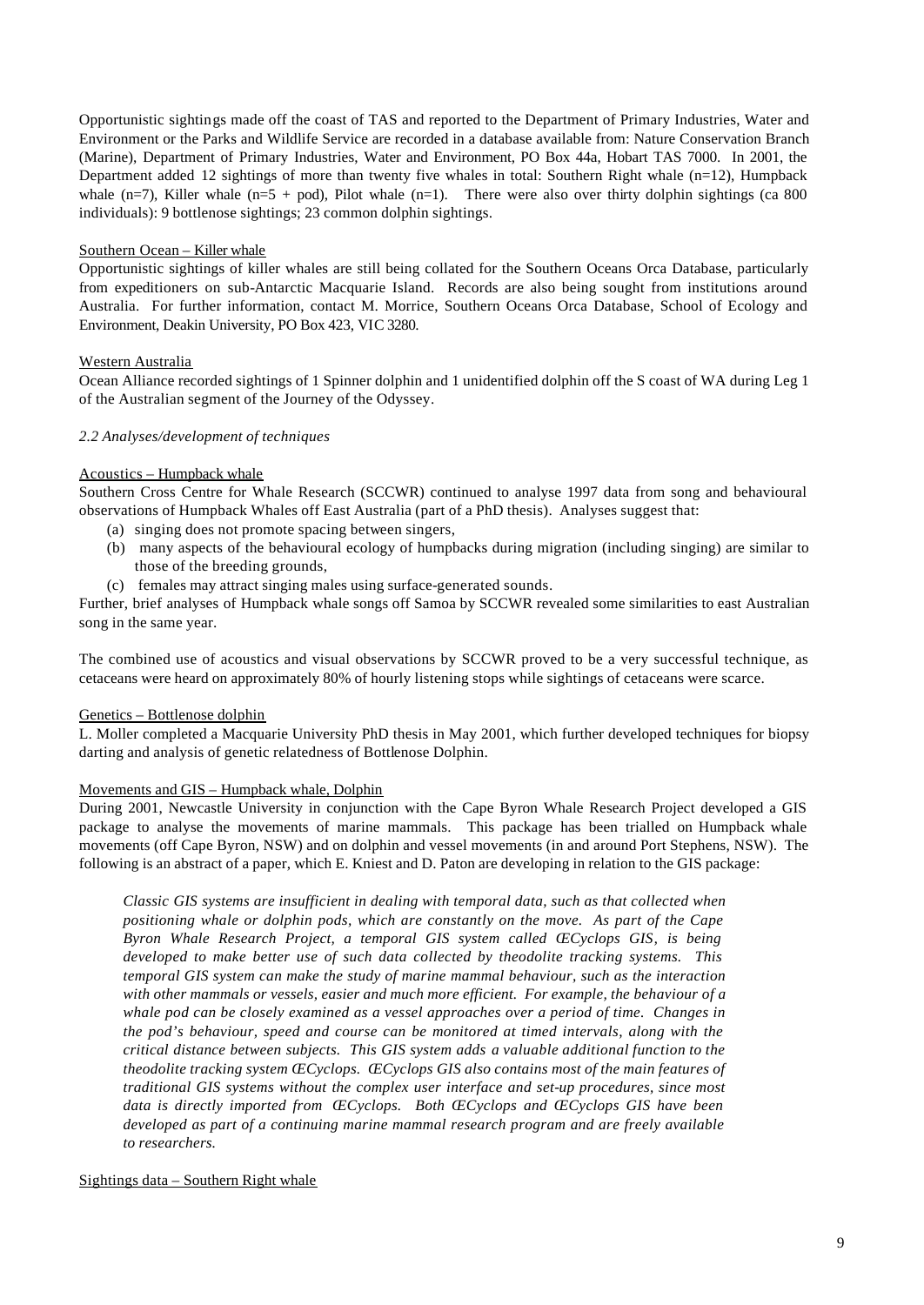Opportunistic sightings made off the coast of TAS and reported to the Department of Primary Industries, Water and Environment or the Parks and Wildlife Service are recorded in a database available from: Nature Conservation Branch (Marine), Department of Primary Industries, Water and Environment, PO Box 44a, Hobart TAS 7000. In 2001, the Department added 12 sightings of more than twenty five whales in total: Southern Right whale (n=12), Humpback whale (n=7), Killer whale (n=5 + pod), Pilot whale (n=1). There were also over thirty dolphin sightings (ca 800 individuals): 9 bottlenose sightings; 23 common dolphin sightings.

## Southern Ocean – Killer whale

Opportunistic sightings of killer whales are still being collated for the Southern Oceans Orca Database, particularly from expeditioners on sub-Antarctic Macquarie Island. Records are also being sought from institutions around Australia. For further information, contact M. Morrice, Southern Oceans Orca Database, School of Ecology and Environment, Deakin University, PO Box 423, VIC 3280.

## Western Australia

Ocean Alliance recorded sightings of 1 Spinner dolphin and 1 unidentified dolphin off the S coast of WA during Leg 1 of the Australian segment of the Journey of the Odyssey.

## *2.2 Analyses/development of techniques*

## Acoustics – Humpback whale

Southern Cross Centre for Whale Research (SCCWR) continued to analyse 1997 data from song and behavioural observations of Humpback Whales off East Australia (part of a PhD thesis). Analyses suggest that:

- (a) singing does not promote spacing between singers,
- (b) many aspects of the behavioural ecology of humpbacks during migration (including singing) are similar to those of the breeding grounds,
- (c) females may attract singing males using surface-generated sounds.

Further, brief analyses of Humpback whale songs off Samoa by SCCWR revealed some similarities to east Australian song in the same year.

The combined use of acoustics and visual observations by SCCWR proved to be a very successful technique, as cetaceans were heard on approximately 80% of hourly listening stops while sightings of cetaceans were scarce.

## Genetics – Bottlenose dolphin

L. Moller completed a Macquarie University PhD thesis in May 2001, which further developed techniques for biopsy darting and analysis of genetic relatedness of Bottlenose Dolphin.

# Movements and GIS – Humpback whale, Dolphin

During 2001, Newcastle University in conjunction with the Cape Byron Whale Research Project developed a GIS package to analyse the movements of marine mammals. This package has been trialled on Humpback whale movements (off Cape Byron, NSW) and on dolphin and vessel movements (in and around Port Stephens, NSW). The following is an abstract of a paper, which E. Kniest and D. Paton are developing in relation to the GIS package:

*Classic GIS systems are insufficient in dealing with temporal data, such as that collected when positioning whale or dolphin pods, which are constantly on the move. As part of the Cape*  Byron Whale Research Project, a temporal GIS system called ŒCyclops GIS, is being *developed to make better use of such data collected by theodolite tracking systems. This temporal GIS system can make the study of marine mammal behaviour, such as the interaction with other mammals or vessels, easier and much more efficient. For example, the behaviour of a whale pod can be closely examined as a vessel approaches over a period of time. Changes in the pod's behaviour, speed and course can be monitored at timed intervals, along with the critical distance between subjects. This GIS system adds a valuable additional function to the theodolite tracking system ŒCyclops. ŒCyclops GIS also contains most of the main features of traditional GIS systems without the complex user interface and set-up procedures, since most data is directly imported from ŒCyclops. Both ŒCyclops and ŒCyclops GIS have been developed as part of a continuing marine mammal research program and are freely available to researchers.*

## Sightings data – Southern Right whale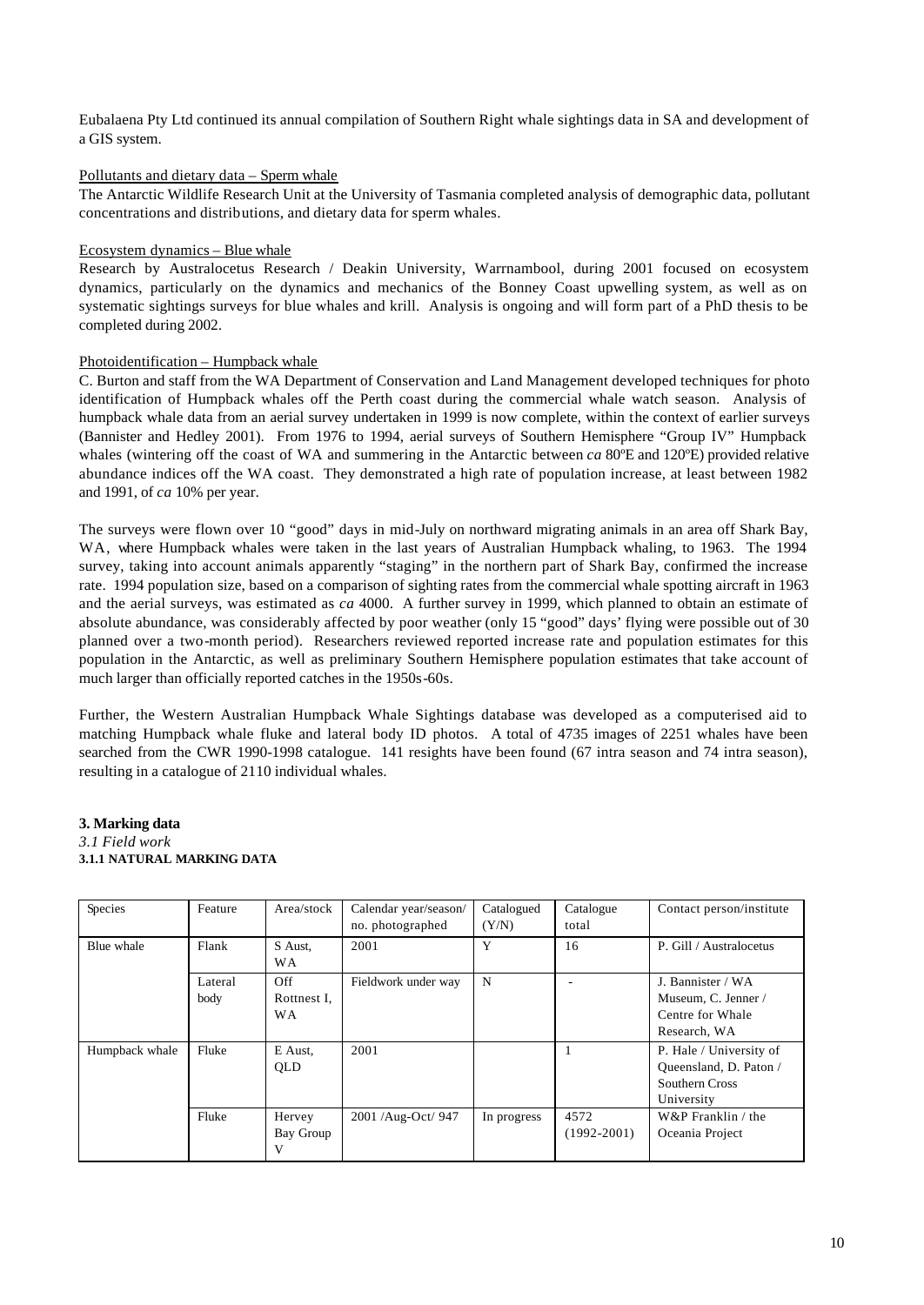Eubalaena Pty Ltd continued its annual compilation of Southern Right whale sightings data in SA and development of a GIS system.

## Pollutants and dietary data – Sperm whale

The Antarctic Wildlife Research Unit at the University of Tasmania completed analysis of demographic data, pollutant concentrations and distributions, and dietary data for sperm whales.

### Ecosystem dynamics – Blue whale

Research by Australocetus Research / Deakin University, Warrnambool, during 2001 focused on ecosystem dynamics, particularly on the dynamics and mechanics of the Bonney Coast upwelling system, as well as on systematic sightings surveys for blue whales and krill. Analysis is ongoing and will form part of a PhD thesis to be completed during 2002.

### Photoidentification – Humpback whale

C. Burton and staff from the WA Department of Conservation and Land Management developed techniques for photo identification of Humpback whales off the Perth coast during the commercial whale watch season. Analysis of humpback whale data from an aerial survey undertaken in 1999 is now complete, within the context of earlier surveys (Bannister and Hedley 2001). From 1976 to 1994, aerial surveys of Southern Hemisphere "Group IV" Humpback whales (wintering off the coast of WA and summering in the Antarctic between *ca* 80ºE and 120ºE) provided relative abundance indices off the WA coast. They demonstrated a high rate of population increase, at least between 1982 and 1991, of *ca* 10% per year.

The surveys were flown over 10 "good" days in mid-July on northward migrating animals in an area off Shark Bay, WA, where Humpback whales were taken in the last years of Australian Humpback whaling, to 1963. The 1994 survey, taking into account animals apparently "staging" in the northern part of Shark Bay, confirmed the increase rate. 1994 population size, based on a comparison of sighting rates from the commercial whale spotting aircraft in 1963 and the aerial surveys, was estimated as *ca* 4000. A further survey in 1999, which planned to obtain an estimate of absolute abundance, was considerably affected by poor weather (only 15 "good" days' flying were possible out of 30 planned over a two-month period). Researchers reviewed reported increase rate and population estimates for this population in the Antarctic, as well as preliminary Southern Hemisphere population estimates that take account of much larger than officially reported catches in the 1950s-60s.

Further, the Western Australian Humpback Whale Sightings database was developed as a computerised aid to matching Humpback whale fluke and lateral body ID photos. A total of 4735 images of 2251 whales have been searched from the CWR 1990-1998 catalogue. 141 resights have been found (67 intra season and 74 intra season), resulting in a catalogue of 2110 individual whales.

### **3. Marking data** *3.1 Field work* **3.1.1 NATURAL MARKING DATA**

| Species        | Feature         | Area/stock                      | Calendar year/season/<br>no. photographed | Catalogued<br>(Y/N) | Catalogue<br>total      | Contact person/institute                                                          |
|----------------|-----------------|---------------------------------|-------------------------------------------|---------------------|-------------------------|-----------------------------------------------------------------------------------|
| Blue whale     | Flank           | S Aust.<br>WА                   | 2001                                      | Y                   | 16                      | P. Gill / Australocetus                                                           |
|                | Lateral<br>body | Off<br>Rottnest I.<br><b>WA</b> | Fieldwork under way                       | N                   |                         | J. Bannister / WA<br>Museum, C. Jenner /<br>Centre for Whale<br>Research, WA      |
| Humpback whale | Fluke           | E Aust.<br>QLD                  | 2001                                      |                     |                         | P. Hale / University of<br>Queensland, D. Paton /<br>Southern Cross<br>University |
|                | Fluke           | Hervey<br>Bay Group<br>V        | 2001 /Aug-Oct/ 947                        | In progress         | 4572<br>$(1992 - 2001)$ | W&P Franklin / the<br>Oceania Project                                             |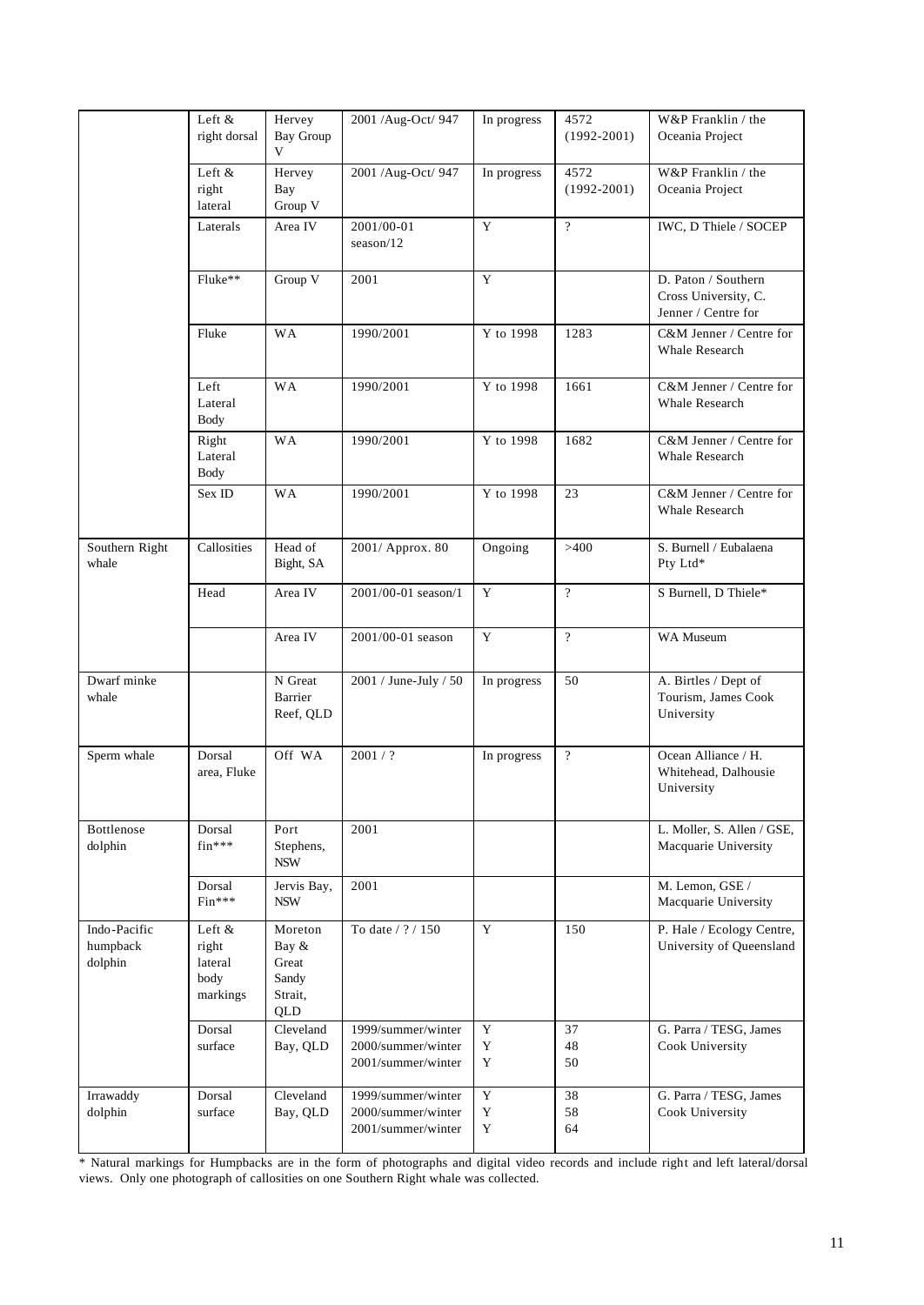|                                     | Left &<br>right dorsal                         | Hervey<br><b>Bay Group</b><br>V                      | 2001 /Aug-Oct/ 947                                             | In progress           | 4572<br>$(1992 - 2001)$ | W&P Franklin / the<br>Oceania Project                              |
|-------------------------------------|------------------------------------------------|------------------------------------------------------|----------------------------------------------------------------|-----------------------|-------------------------|--------------------------------------------------------------------|
|                                     | Left &<br>right<br>lateral                     | Hervey<br>Bay<br>Group V                             | 2001 /Aug-Oct/ 947                                             | In progress           | 4572<br>$(1992 - 2001)$ | W&P Franklin / the<br>Oceania Project                              |
|                                     | Laterals                                       | Area IV                                              | 2001/00-01<br>season/12                                        | Y                     | $\gamma$                | IWC, D Thiele / SOCEP                                              |
|                                     | Fluke**                                        | Group $\overline{V}$                                 | 2001                                                           | Y                     |                         | D. Paton / Southern<br>Cross University, C.<br>Jenner / Centre for |
|                                     | Fluke                                          | <b>WA</b>                                            | 1990/2001                                                      | Y to 1998             | 1283                    | C&M Jenner / Centre for<br><b>Whale Research</b>                   |
|                                     | Left<br>Lateral<br><b>Body</b>                 | <b>WA</b>                                            | 1990/2001                                                      | Y to 1998             | 1661                    | C&M Jenner / Centre for<br>Whale Research                          |
|                                     | Right<br>Lateral<br><b>Body</b>                | <b>WA</b>                                            | 1990/2001                                                      | Y to 1998             | 1682                    | C&M Jenner / Centre for<br>Whale Research                          |
|                                     | Sex ID                                         | <b>WA</b>                                            | 1990/2001                                                      | Y to 1998             | 23                      | C&M Jenner / Centre for<br>Whale Research                          |
| Southern Right<br>whale             | Callosities                                    | Head of<br>Bight, SA                                 | 2001/ Approx. 80                                               | Ongoing               | >400                    | S. Burnell / Eubalaena<br>Pty Ltd*                                 |
|                                     | Head                                           | Area IV                                              | 2001/00-01 season/1                                            | Y                     | $\overline{?}$          | S Burnell, D Thiele*                                               |
|                                     |                                                | Area IV                                              | 2001/00-01 season                                              | $\overline{Y}$        | $\gamma$                | WA Museum                                                          |
| Dwarf minke<br>whale                |                                                | N Great<br>Barrier<br>Reef, QLD                      | 2001 / June-July / 50                                          | In progress           | 50                      | A. Birtles / Dept of<br>Tourism, James Cook<br>University          |
| Sperm whale                         | Dorsal<br>area, Fluke                          | Off WA                                               | 2001 / ?                                                       | In progress           | $\overline{?}$          | Ocean Alliance / H.<br>Whitehead, Dalhousie<br>University          |
| Bottlenose<br>dolphin               | Dorsal<br>$fin***$                             | Port<br>Stephens,<br><b>NSW</b>                      | 2001                                                           |                       |                         | L. Moller, S. Allen / GSE,<br>Macquarie University                 |
|                                     | Dorsal<br>Fin***                               | Jervis Bay,<br><b>NSW</b>                            | 2001                                                           |                       |                         | M. Lemon, GSE /<br>Macquarie University                            |
| Indo-Pacific<br>humpback<br>dolphin | Left &<br>right<br>lateral<br>body<br>markings | Moreton<br>Bay &<br>Great<br>Sandy<br>Strait,<br>QLD | To date / ? / 150                                              | $\mathbf Y$           | 150                     | P. Hale / Ecology Centre,<br>University of Queensland              |
|                                     | Dorsal<br>surface                              | Cleveland<br>Bay, QLD                                | 1999/summer/winter<br>2000/summer/winter<br>2001/summer/winter | Y<br>$\mathbf Y$<br>Y | 37<br>48<br>50          | G. Parra / TESG, James<br>Cook University                          |
| Irrawaddy<br>dolphin                | Dorsal<br>surface                              | Cleveland<br>Bay, QLD                                | 1999/summer/winter<br>2000/summer/winter<br>2001/summer/winter | $\mathbf Y$<br>Y<br>Y | 38<br>58<br>64          | G. Parra / TESG, James<br>Cook University                          |

\* Natural markings for Humpbacks are in the form of photographs and digital video records and include right and left lateral/dorsal views. Only one photograph of callosities on one Southern Right whale was collected.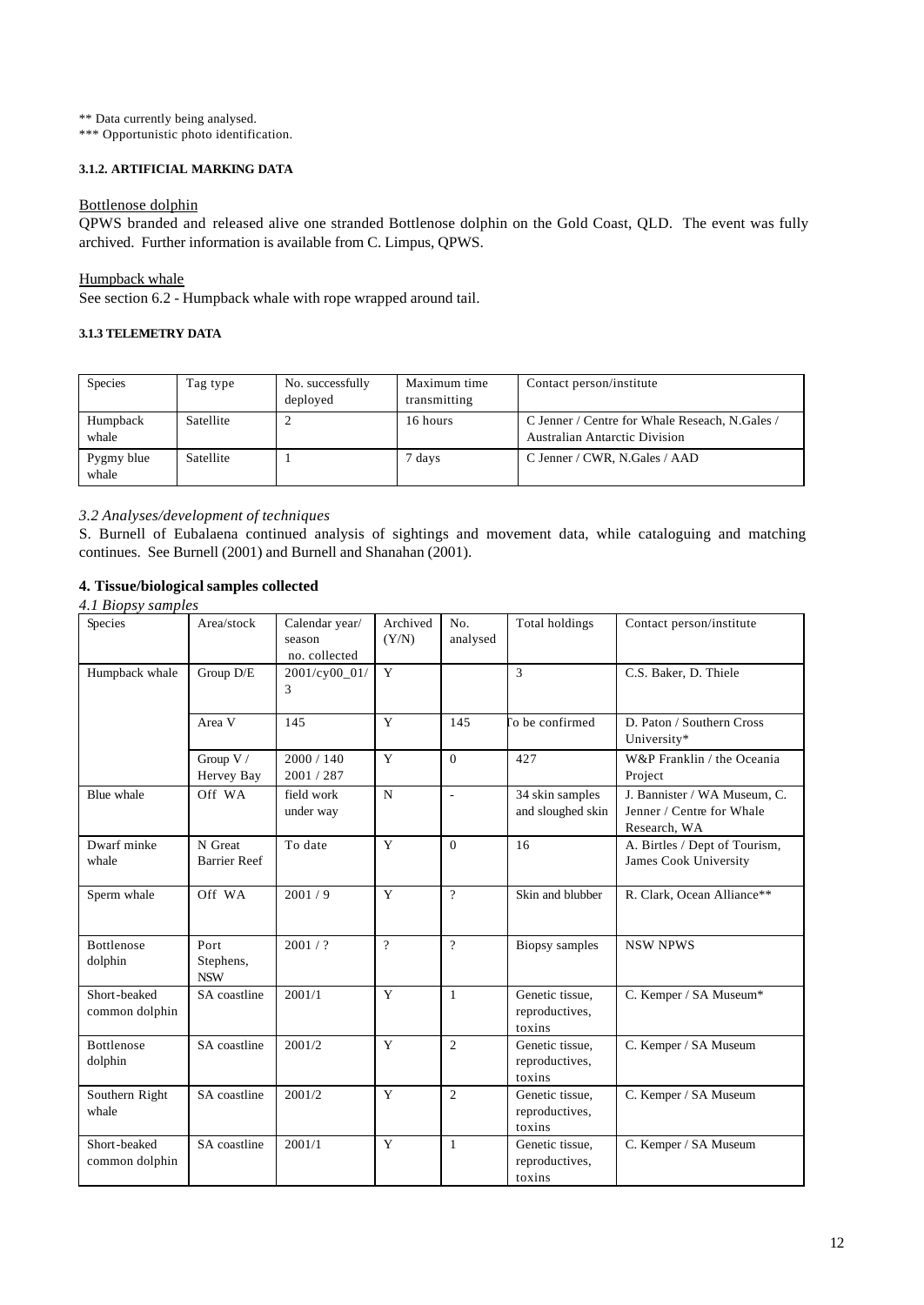\*\* Data currently being analysed.

\*\*\* Opportunistic photo identification.

# **3.1.2. ARTIFICIAL MARKING DATA**

### Bottlenose dolphin

QPWS branded and released alive one stranded Bottlenose dolphin on the Gold Coast, QLD. The event was fully archived. Further information is available from C. Limpus, QPWS.

## Humpback whale

See section 6.2 - Humpback whale with rope wrapped around tail.

# **3.1.3 TELEMETRY DATA**

| Species             | Tag type  | No. successfully<br>deployed | Maximum time<br>transmitting | Contact person/institute                                                               |
|---------------------|-----------|------------------------------|------------------------------|----------------------------------------------------------------------------------------|
| Humpback<br>whale   | Satellite |                              | 16 hours                     | C Jenner / Centre for Whale Reseach, N.Gales /<br><b>Australian Antarctic Division</b> |
| Pygmy blue<br>whale | Satellite |                              | 7 days                       | C Jenner / CWR, N.Gales / AAD                                                          |

## *3.2 Analyses/development of techniques*

S. Burnell of Eubalaena continued analysis of sightings and movement data, while cataloguing and matching continues. See Burnell (2001) and Burnell and Shanahan (2001).

## **4. Tissue/biological samples collected**

## *4.1 Biopsy samples*

| Species                        | Area/stock                      | Calendar year/<br>season<br>no. collected | Archived<br>(Y/N) | No.<br>analysed | Total holdings                              | Contact person/institute                                                  |
|--------------------------------|---------------------------------|-------------------------------------------|-------------------|-----------------|---------------------------------------------|---------------------------------------------------------------------------|
| Humpback whale                 | Group D/E                       | 2001/cy00_01/<br>3                        | Y                 |                 | 3                                           | C.S. Baker, D. Thiele                                                     |
|                                | Area V                          | 145                                       | Y                 | 145             | o be confirmed                              | D. Paton / Southern Cross<br>University*                                  |
|                                | Group V /<br>Hervey Bay         | 2000 / 140<br>2001 / 287                  | Y                 | $\Omega$        | 427                                         | W&P Franklin / the Oceania<br>Project                                     |
| Blue whale                     | Off WA                          | field work<br>under way                   | $\mathbf N$       | L,              | 34 skin samples<br>and sloughed skin        | J. Bannister / WA Museum, C.<br>Jenner / Centre for Whale<br>Research, WA |
| Dwarf minke<br>whale           | N Great<br><b>Barrier Reef</b>  | To date                                   | Y                 | $\theta$        | 16                                          | A. Birtles / Dept of Tourism,<br>James Cook University                    |
| Sperm whale                    | Off WA                          | 2001/9                                    | Y                 | $\gamma$        | Skin and blubber                            | R. Clark, Ocean Alliance**                                                |
| Bottlenose<br>dolphin          | Port<br>Stephens,<br><b>NSW</b> | 2001/?                                    | $\overline{?}$    | $\gamma$        | <b>Biopsy</b> samples                       | <b>NSW NPWS</b>                                                           |
| Short-beaked<br>common dolphin | SA coastline                    | 2001/1                                    | Y                 | $\mathbf{1}$    | Genetic tissue.<br>reproductives,<br>toxins | C. Kemper / SA Museum*                                                    |
| Bottlenose<br>dolphin          | SA coastline                    | 2001/2                                    | Y                 | $\overline{c}$  | Genetic tissue.<br>reproductives,<br>toxins | C. Kemper / SA Museum                                                     |
| Southern Right<br>whale        | SA coastline                    | 2001/2                                    | Y                 | $\overline{2}$  | Genetic tissue.<br>reproductives,<br>toxins | C. Kemper / SA Museum                                                     |
| Short-beaked<br>common dolphin | SA coastline                    | 2001/1                                    | Y                 | 1               | Genetic tissue.<br>reproductives,<br>toxins | C. Kemper / SA Museum                                                     |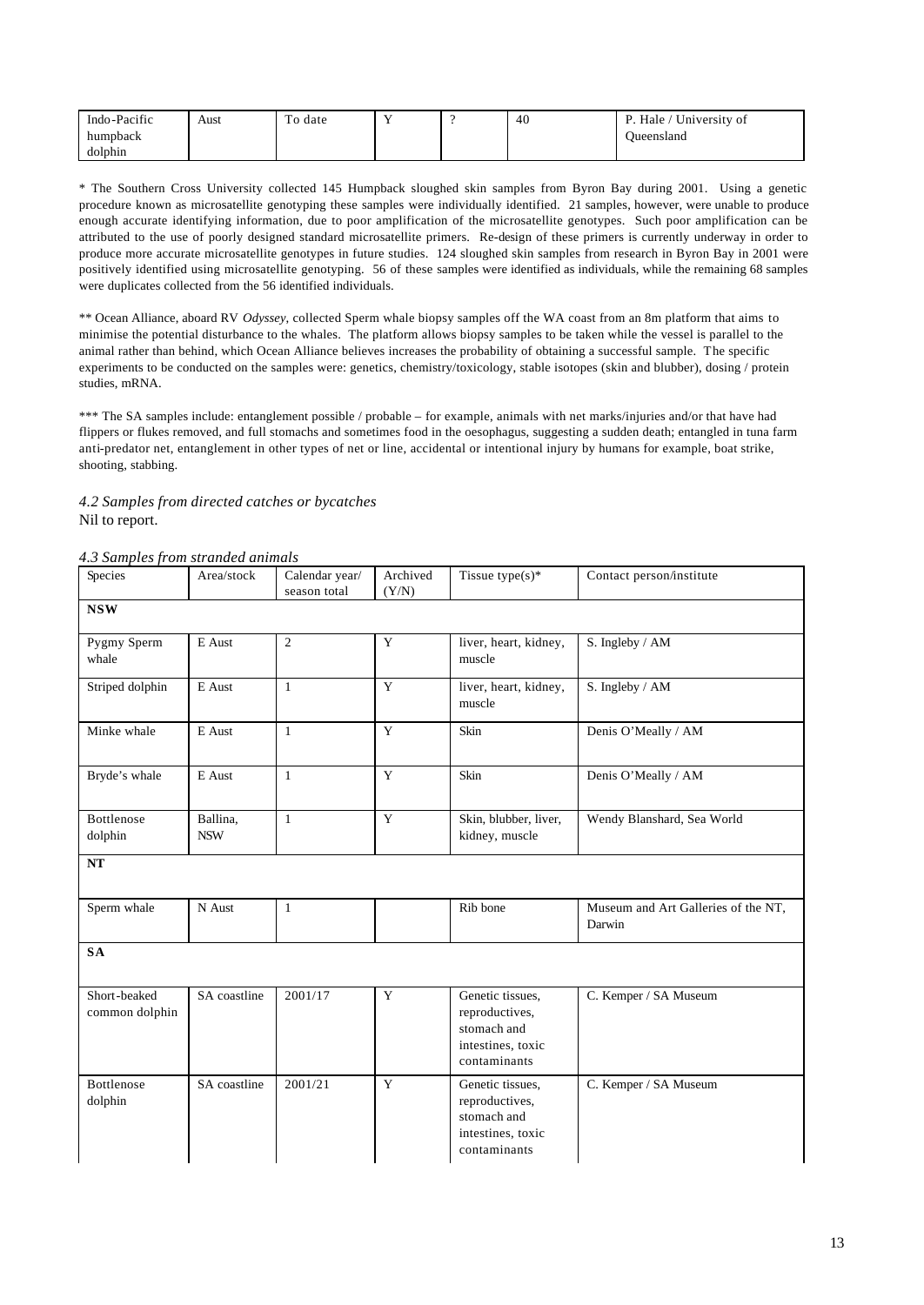| Indo-Pacific | Aust | To date |  | 40 | University of<br>Hale / |
|--------------|------|---------|--|----|-------------------------|
| humpback     |      |         |  |    | Jueensland              |
| dolphin      |      |         |  |    |                         |

\* The Southern Cross University collected 145 Humpback sloughed skin samples from Byron Bay during 2001. Using a genetic procedure known as microsatellite genotyping these samples were individually identified. 21 samples, however, were unable to produce enough accurate identifying information, due to poor amplification of the microsatellite genotypes. Such poor amplification can be attributed to the use of poorly designed standard microsatellite primers. Re-design of these primers is currently underway in order to produce more accurate microsatellite genotypes in future studies. 124 sloughed skin samples from research in Byron Bay in 2001 were positively identified using microsatellite genotyping. 56 of these samples were identified as individuals, while the remaining 68 samples were duplicates collected from the 56 identified individuals.

\*\* Ocean Alliance, aboard RV *Odyssey*, collected Sperm whale biopsy samples off the WA coast from an 8m platform that aims to minimise the potential disturbance to the whales. The platform allows biopsy samples to be taken while the vessel is parallel to the animal rather than behind, which Ocean Alliance believes increases the probability of obtaining a successful sample. The specific experiments to be conducted on the samples were: genetics, chemistry/toxicology, stable isotopes (skin and blubber), dosing / protein studies, mRNA.

\*\*\* The SA samples include: entanglement possible / probable – for example, animals with net marks/injuries and/or that have had flippers or flukes removed, and full stomachs and sometimes food in the oesophagus, suggesting a sudden death; entangled in tuna farm anti-predator net, entanglement in other types of net or line, accidental or intentional injury by humans for example, boat strike, shooting, stabbing.

*4.2 Samples from directed catches or bycatches* Nil to report.

### *4.3 Samples from stranded animals*

| Species                        | Area/stock             | Calendar year/<br>season total | Archived<br>(Y/N) | Tissue type $(s)^*$                                                                    | Contact person/institute                      |
|--------------------------------|------------------------|--------------------------------|-------------------|----------------------------------------------------------------------------------------|-----------------------------------------------|
| <b>NSW</b>                     |                        |                                |                   |                                                                                        |                                               |
| Pygmy Sperm<br>whale           | E Aust                 | $\overline{2}$                 | Y                 | liver, heart, kidney,<br>muscle                                                        | S. Ingleby / AM                               |
| Striped dolphin                | E Aust                 | $\mathbf{1}$                   | Y                 | liver, heart, kidney,<br>muscle                                                        | S. Ingleby / AM                               |
| Minke whale                    | E Aust                 | $\mathbf{1}$                   | Y                 | Skin                                                                                   | Denis O'Meally / AM                           |
| Bryde's whale                  | E Aust                 | $\mathbf{1}$                   | Y                 | Skin                                                                                   | Denis O'Meally / AM                           |
| <b>Bottlenose</b><br>dolphin   | Ballina,<br><b>NSW</b> | $\mathbf{1}$                   | $\mathbf Y$       | Skin, blubber, liver,<br>kidney, muscle                                                | Wendy Blanshard, Sea World                    |
| <b>NT</b>                      |                        |                                |                   |                                                                                        |                                               |
| Sperm whale                    | N Aust                 | $\mathbf{1}$                   |                   | Rib bone                                                                               | Museum and Art Galleries of the NT,<br>Darwin |
| <b>SA</b>                      |                        |                                |                   |                                                                                        |                                               |
| Short-beaked<br>common dolphin | SA coastline           | 2001/17                        | Y                 | Genetic tissues.<br>reproductives,<br>stomach and<br>intestines, toxic<br>contaminants | C. Kemper / SA Museum                         |
| <b>Bottlenose</b><br>dolphin   | SA coastline           | 2001/21                        | Y                 | Genetic tissues.<br>reproductives,<br>stomach and<br>intestines, toxic<br>contaminants | C. Kemper / SA Museum                         |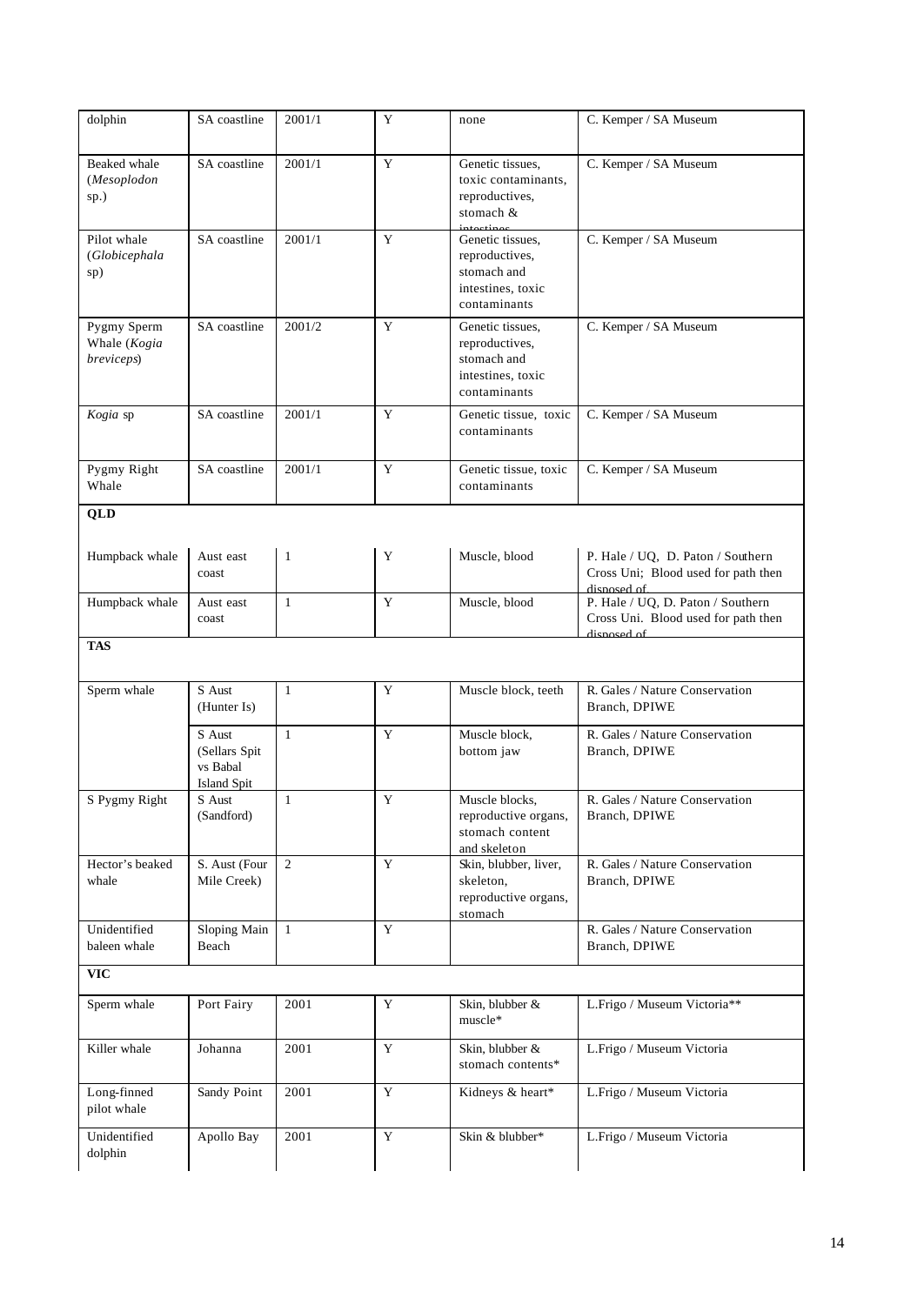| dolphin                                   | SA coastline                                              | 2001/1         | Y           | none                                                                                   | C. Kemper / SA Museum                                                                   |
|-------------------------------------------|-----------------------------------------------------------|----------------|-------------|----------------------------------------------------------------------------------------|-----------------------------------------------------------------------------------------|
| Beaked whale<br>(Mesoplodon<br>sp.)       | SA coastline                                              | 2001/1         | $\mathbf Y$ | Genetic tissues,<br>toxic contaminants,<br>reproductives,<br>stomach &<br>intectines   | C. Kemper / SA Museum                                                                   |
| Pilot whale<br>(Globicephala<br>sp)       | SA coastline                                              | 2001/1         | Y           | Genetic tissues.<br>reproductives,<br>stomach and<br>intestines, toxic<br>contaminants | C. Kemper / SA Museum                                                                   |
| Pygmy Sperm<br>Whale (Kogia<br>breviceps) | SA coastline                                              | 2001/2         | Y           | Genetic tissues,<br>reproductives,<br>stomach and<br>intestines, toxic<br>contaminants | C. Kemper / SA Museum                                                                   |
| Kogia sp                                  | SA coastline                                              | 2001/1         | $\mathbf Y$ | Genetic tissue, toxic<br>contaminants                                                  | C. Kemper / SA Museum                                                                   |
| Pygmy Right<br>Whale                      | SA coastline                                              | 2001/1         | Y           | Genetic tissue, toxic<br>contaminants                                                  | C. Kemper / SA Museum                                                                   |
| <b>QLD</b>                                |                                                           |                |             |                                                                                        |                                                                                         |
| Humpback whale                            | Aust east<br>coast                                        | 1              | Y           | Muscle, blood                                                                          | P. Hale / UQ, D. Paton / Southern<br>Cross Uni; Blood used for path then<br>disposed of |
| Humpback whale                            | Aust east<br>coast                                        | $\mathbf{1}$   | Y           | Muscle, blood                                                                          | P. Hale / UQ, D. Paton / Southern<br>Cross Uni. Blood used for path then<br>disposed of |
| <b>TAS</b>                                |                                                           |                |             |                                                                                        |                                                                                         |
| Sperm whale                               | S Aust<br>(Hunter Is)                                     | $\mathbf{1}$   | Y           | Muscle block, teeth                                                                    | R. Gales / Nature Conservation<br>Branch, DPIWE                                         |
|                                           | S Aust<br>(Sellars Spit<br>vs Babal<br><b>Island Spit</b> | $\mathbf{1}$   | Y           | Muscle block,<br>bottom jaw                                                            | R. Gales / Nature Conservation<br>Branch, DPIWE                                         |
| S Pygmy Right                             | S Aust<br>(Sandford)                                      | $\mathbf{1}$   | Y           | Muscle blocks,<br>reproductive organs,<br>stomach content<br>and skeleton              | R. Gales / Nature Conservation<br>Branch, DPIWE                                         |
| Hector's beaked<br>whale                  | S. Aust (Four<br>Mile Creek)                              | $\overline{2}$ | Y           | Skin, blubber, liver,<br>skeleton,<br>reproductive organs,<br>stomach                  | R. Gales / Nature Conservation<br>Branch, DPIWE                                         |
| Unidentified<br>baleen whale              | Sloping Main<br>Beach                                     | $\mathbf{1}$   | Y           |                                                                                        | R. Gales / Nature Conservation<br>Branch, DPIWE                                         |
| <b>VIC</b>                                |                                                           |                |             |                                                                                        |                                                                                         |
| Sperm whale                               | Port Fairy                                                | 2001           | Y           | Skin, blubber &<br>muscle*                                                             | L.Frigo / Museum Victoria**                                                             |
| Killer whale                              | Johanna                                                   | 2001           | Y           | Skin, blubber &<br>stomach contents*                                                   | L.Frigo / Museum Victoria                                                               |
| Long-finned<br>pilot whale                | Sandy Point                                               | 2001           | Y           | Kidneys & heart*                                                                       | L.Frigo / Museum Victoria                                                               |
| Unidentified<br>dolphin                   | Apollo Bay                                                | 2001           | Y           | Skin & blubber*                                                                        | L.Frigo / Museum Victoria                                                               |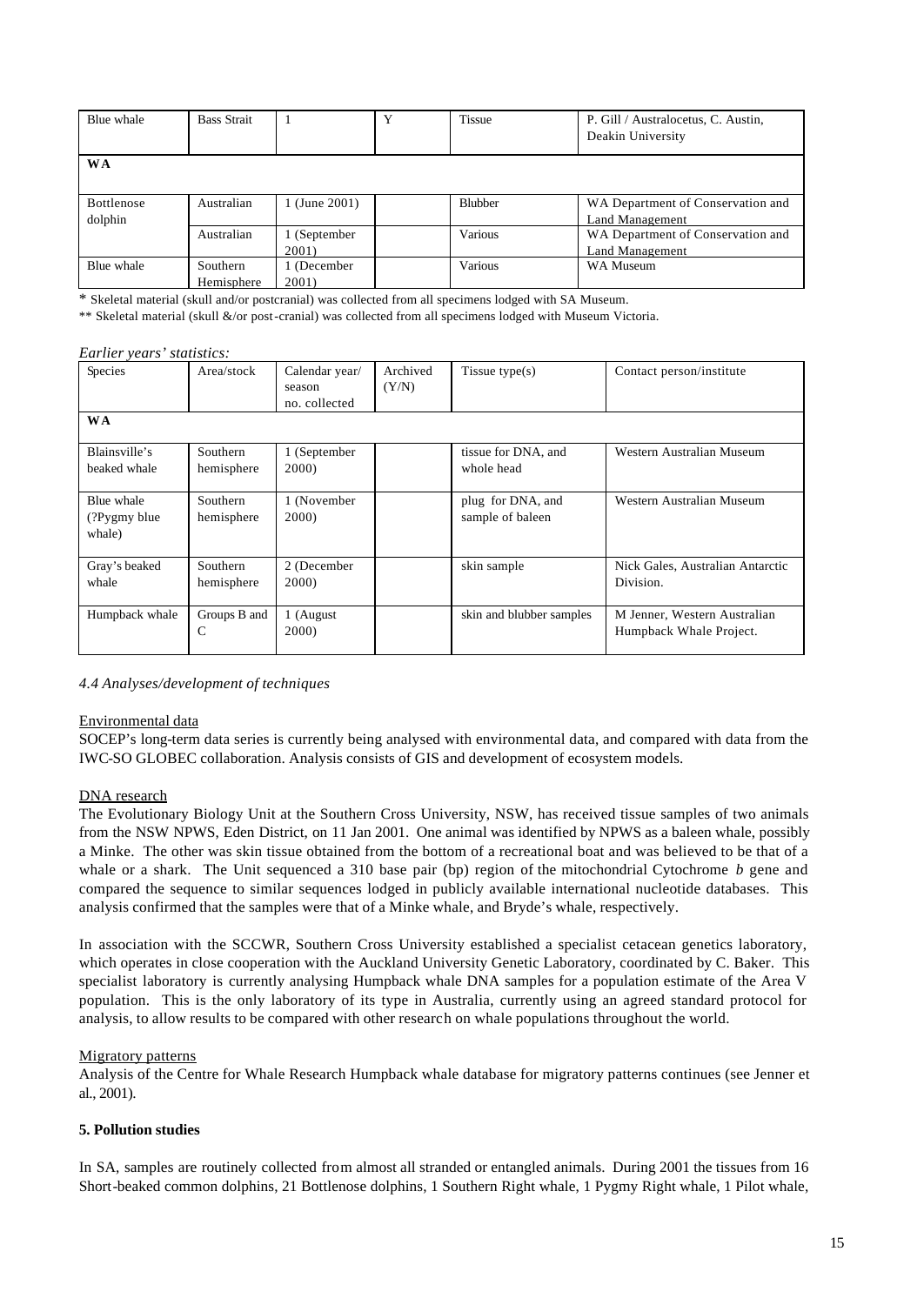| Blue whale            | <b>Bass Strait</b>     |                      | v | <b>Tissue</b>  | P. Gill / Australocetus, C. Austin,<br>Deakin University |
|-----------------------|------------------------|----------------------|---|----------------|----------------------------------------------------------|
| <b>WA</b>             |                        |                      |   |                |                                                          |
| Bottlenose<br>dolphin | Australian             | 1 (June 2001)        |   | <b>Blubber</b> | WA Department of Conservation and<br>Land Management     |
|                       | Australian             | 1 (September<br>2001 |   | Various        | WA Department of Conservation and<br>Land Management     |
| Blue whale            | Southern<br>Hemisphere | (December)<br>2001   |   | Various        | WA Museum                                                |

\* Skeletal material (skull and/or postcranial) was collected from all specimens lodged with SA Museum.

\*\* Skeletal material (skull &/or post-cranial) was collected from all specimens lodged with Museum Victoria.

#### *Earlier years' statistics:*

| Species                               | Area/stock             | Calendar year/<br>season<br>no. collected | Archived<br>(Y/N) | Tissue type $(s)$                     | Contact person/institute                                |
|---------------------------------------|------------------------|-------------------------------------------|-------------------|---------------------------------------|---------------------------------------------------------|
| <b>WA</b>                             |                        |                                           |                   |                                       |                                                         |
| Blainsville's<br>beaked whale         | Southern<br>hemisphere | 1 (September<br>2000)                     |                   | tissue for DNA, and<br>whole head     | Western Australian Museum                               |
| Blue whale<br>(?Pygmy blue)<br>whale) | Southern<br>hemisphere | 1 (November<br>2000)                      |                   | plug for DNA, and<br>sample of baleen | Western Australian Museum                               |
| Gray's beaked<br>whale                | Southern<br>hemisphere | 2 (December<br>2000)                      |                   | skin sample                           | Nick Gales, Australian Antarctic<br>Division.           |
| Humpback whale                        | Groups B and<br>C      | 1 (August<br>2000)                        |                   | skin and blubber samples              | M Jenner, Western Australian<br>Humpback Whale Project. |

*4.4 Analyses/development of techniques*

### Environmental data

SOCEP's long-term data series is currently being analysed with environmental data, and compared with data from the IWC-SO GLOBEC collaboration. Analysis consists of GIS and development of ecosystem models.

### DNA research

The Evolutionary Biology Unit at the Southern Cross University, NSW, has received tissue samples of two animals from the NSW NPWS, Eden District, on 11 Jan 2001. One animal was identified by NPWS as a baleen whale, possibly a Minke. The other was skin tissue obtained from the bottom of a recreational boat and was believed to be that of a whale or a shark. The Unit sequenced a 310 base pair (bp) region of the mitochondrial Cytochrome *b* gene and compared the sequence to similar sequences lodged in publicly available international nucleotide databases. This analysis confirmed that the samples were that of a Minke whale, and Bryde's whale, respectively.

In association with the SCCWR, Southern Cross University established a specialist cetacean genetics laboratory, which operates in close cooperation with the Auckland University Genetic Laboratory, coordinated by C. Baker. This specialist laboratory is currently analysing Humpback whale DNA samples for a population estimate of the Area V population. This is the only laboratory of its type in Australia, currently using an agreed standard protocol for analysis, to allow results to be compared with other research on whale populations throughout the world.

### Migratory patterns

Analysis of the Centre for Whale Research Humpback whale database for migratory patterns continues (see Jenner et al., 2001).

## **5. Pollution studies**

In SA, samples are routinely collected from almost all stranded or entangled animals. During 2001 the tissues from 16 Short-beaked common dolphins, 21 Bottlenose dolphins, 1 Southern Right whale, 1 Pygmy Right whale, 1 Pilot whale,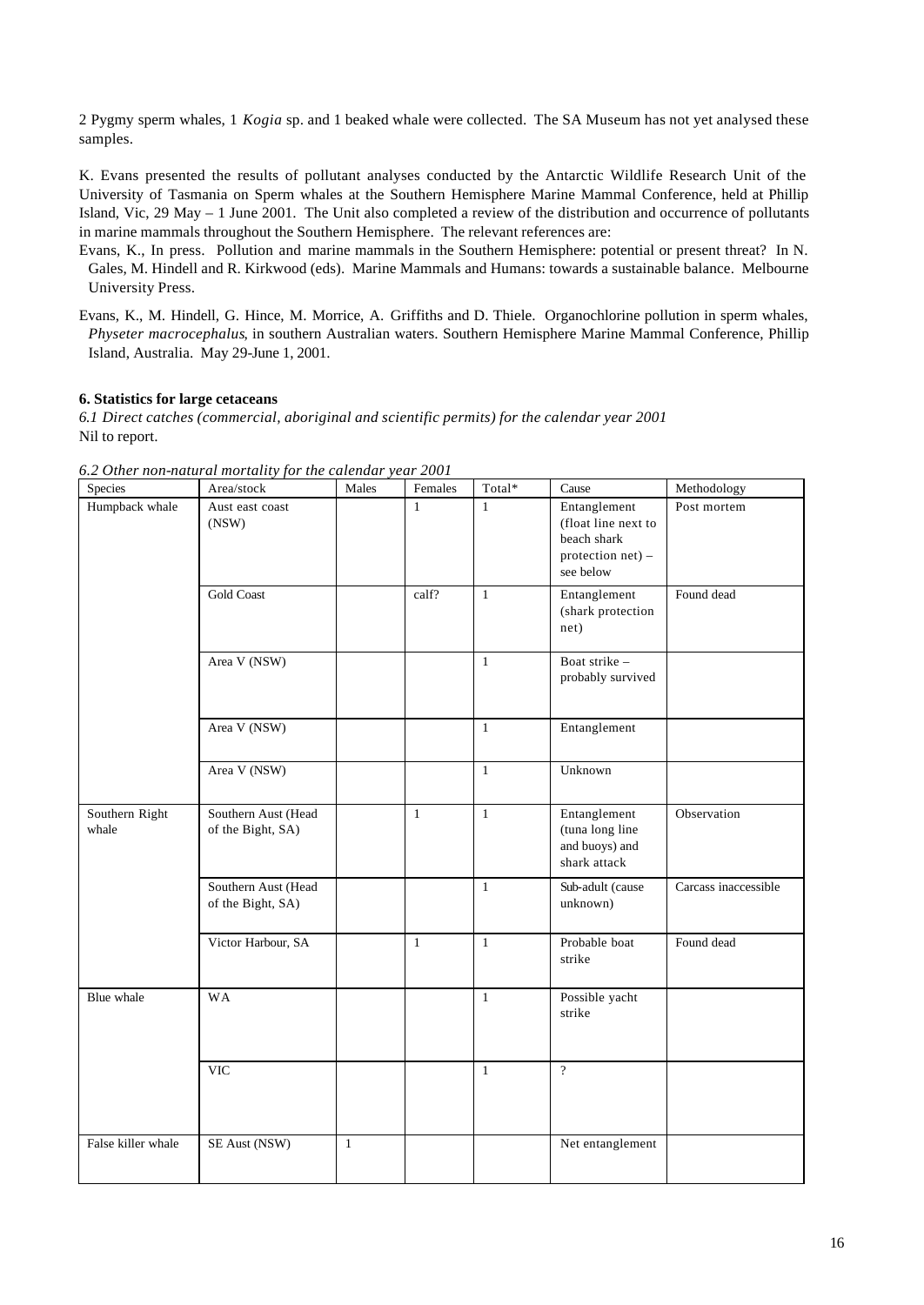2 Pygmy sperm whales, 1 *Kogia* sp. and 1 beaked whale were collected. The SA Museum has not yet analysed these samples.

K. Evans presented the results of pollutant analyses conducted by the Antarctic Wildlife Research Unit of the University of Tasmania on Sperm whales at the Southern Hemisphere Marine Mammal Conference, held at Phillip Island, Vic, 29 May – 1 June 2001. The Unit also completed a review of the distribution and occurrence of pollutants in marine mammals throughout the Southern Hemisphere. The relevant references are:

- Evans, K., In press. Pollution and marine mammals in the Southern Hemisphere: potential or present threat? In N. Gales, M. Hindell and R. Kirkwood (eds). Marine Mammals and Humans: towards a sustainable balance. Melbourne University Press.
- Evans, K., M. Hindell, G. Hince, M. Morrice, A. Griffiths and D. Thiele. Organochlorine pollution in sperm whales, *Physeter macrocephalus*, in southern Australian waters. Southern Hemisphere Marine Mammal Conference, Phillip Island, Australia. May 29-June 1, 2001.

## **6. Statistics for large cetaceans**

*6.1 Direct catches (commercial, aboriginal and scientific permits) for the calendar year 2001* Nil to report.

| Species                 | Area/stock                               | Males        | Females      | Total*       | Cause                                                                                | Methodology          |
|-------------------------|------------------------------------------|--------------|--------------|--------------|--------------------------------------------------------------------------------------|----------------------|
| Humpback whale          | Aust east coast<br>(NSW)                 |              | $\mathbf{1}$ | $\mathbf{1}$ | Entanglement<br>(float line next to<br>beach shark<br>protection net) -<br>see below | Post mortem          |
|                         | <b>Gold Coast</b>                        |              | calf?        | $\mathbf{1}$ | Entanglement<br>(shark protection<br>net)                                            | Found dead           |
|                         | Area V (NSW)                             |              |              | $\mathbf{1}$ | Boat strike -<br>probably survived                                                   |                      |
|                         | Area V (NSW)                             |              |              | $\mathbf{1}$ | Entanglement                                                                         |                      |
|                         | Area V (NSW)                             |              |              | $\mathbf{1}$ | Unknown                                                                              |                      |
| Southern Right<br>whale | Southern Aust (Head<br>of the Bight, SA) |              | $\mathbf{1}$ | $\mathbf{1}$ | Entanglement<br>(tuna long line<br>and buoys) and<br>shark attack                    | Observation          |
|                         | Southern Aust (Head<br>of the Bight, SA) |              |              | $\mathbf{1}$ | Sub-adult (cause<br>unknown)                                                         | Carcass inaccessible |
|                         | Victor Harbour, SA                       |              | $\mathbf{1}$ | $\mathbf{1}$ | Probable boat<br>strike                                                              | Found dead           |
| Blue whale              | <b>WA</b>                                |              |              | $\mathbf{1}$ | Possible yacht<br>strike                                                             |                      |
|                         | <b>VIC</b>                               |              |              | $\mathbf{1}$ | $\overline{?}$                                                                       |                      |
| False killer whale      | SE Aust (NSW)                            | $\mathbf{1}$ |              |              | Net entanglement                                                                     |                      |

*6.2 Other non-natural mortality for the calendar year 2001*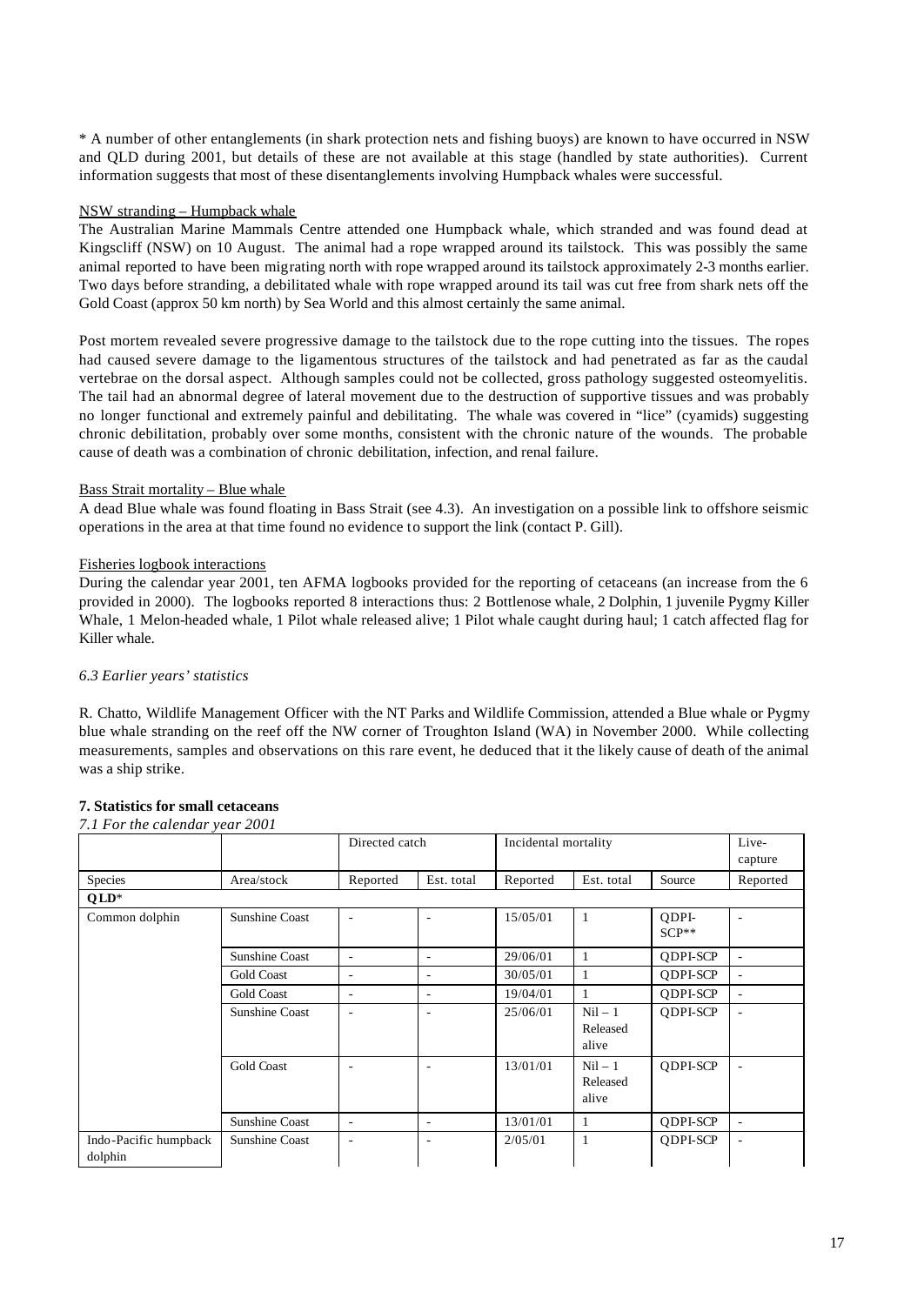\* A number of other entanglements (in shark protection nets and fishing buoys) are known to have occurred in NSW and QLD during 2001, but details of these are not available at this stage (handled by state authorities). Current information suggests that most of these disentanglements involving Humpback whales were successful.

## NSW stranding – Humpback whale

The Australian Marine Mammals Centre attended one Humpback whale, which stranded and was found dead at Kingscliff (NSW) on 10 August. The animal had a rope wrapped around its tailstock. This was possibly the same animal reported to have been migrating north with rope wrapped around its tailstock approximately 2-3 months earlier. Two days before stranding, a debilitated whale with rope wrapped around its tail was cut free from shark nets off the Gold Coast (approx 50 km north) by Sea World and this almost certainly the same animal.

Post mortem revealed severe progressive damage to the tailstock due to the rope cutting into the tissues. The ropes had caused severe damage to the ligamentous structures of the tailstock and had penetrated as far as the caudal vertebrae on the dorsal aspect. Although samples could not be collected, gross pathology suggested osteomyelitis. The tail had an abnormal degree of lateral movement due to the destruction of supportive tissues and was probably no longer functional and extremely painful and debilitating. The whale was covered in "lice" (cyamids) suggesting chronic debilitation, probably over some months, consistent with the chronic nature of the wounds. The probable cause of death was a combination of chronic debilitation, infection, and renal failure.

## Bass Strait mortality – Blue whale

A dead Blue whale was found floating in Bass Strait (see 4.3). An investigation on a possible link to offshore seismic operations in the area at that time found no evidence to support the link (contact P. Gill).

## Fisheries logbook interactions

During the calendar year 2001, ten AFMA logbooks provided for the reporting of cetaceans (an increase from the 6 provided in 2000). The logbooks reported 8 interactions thus: 2 Bottlenose whale, 2 Dolphin, 1 juvenile Pygmy Killer Whale, 1 Melon-headed whale, 1 Pilot whale released alive; 1 Pilot whale caught during haul; 1 catch affected flag for Killer whale.

# *6.3 Earlier years' statistics*

R. Chatto, Wildlife Management Officer with the NT Parks and Wildlife Commission, attended a Blue whale or Pygmy blue whale stranding on the reef off the NW corner of Troughton Island (WA) in November 2000. While collecting measurements, samples and observations on this rare event, he deduced that it the likely cause of death of the animal was a ship strike.

# **7. Statistics for small cetaceans**

## *7.1 For the calendar year 2001*

|                                  |                       | Directed catch           |            | Incidental mortality |                                |                  | Live-<br>capture         |
|----------------------------------|-----------------------|--------------------------|------------|----------------------|--------------------------------|------------------|--------------------------|
| Species                          | Area/stock            | Reported                 | Est. total | Reported             | Est. total                     | Source           | Reported                 |
| $QLD*$                           |                       |                          |            |                      |                                |                  |                          |
| Common dolphin                   | Sunshine Coast        |                          | ٠          | 15/05/01             | 1                              | ODPI-<br>$SCP**$ |                          |
|                                  | <b>Sunshine Coast</b> | ٠                        | ٠          | 29/06/01             | 1                              | QDPI-SCP         | ٠                        |
|                                  | <b>Gold Coast</b>     |                          |            | 30/05/01             | 1                              | <b>ODPI-SCP</b>  | $\overline{\phantom{a}}$ |
|                                  | <b>Gold Coast</b>     | ۰                        | ۰          | 19/04/01             | 1                              | ODPI-SCP         | ٠                        |
|                                  | <b>Sunshine Coast</b> | $\overline{\phantom{a}}$ | ۰          | 25/06/01             | $Nil - 1$<br>Released<br>alive | QDPI-SCP         | ٠                        |
|                                  | <b>Gold Coast</b>     |                          | ۰          | 13/01/01             | $Nil - 1$<br>Released<br>alive | <b>ODPI-SCP</b>  |                          |
|                                  | Sunshine Coast        | $\overline{\phantom{m}}$ | ٠          | 13/01/01             | 1                              | <b>QDPI-SCP</b>  | ٠                        |
| Indo-Pacific humpback<br>dolphin | <b>Sunshine Coast</b> |                          |            | 2/05/01              | 1                              | QDPI-SCP         |                          |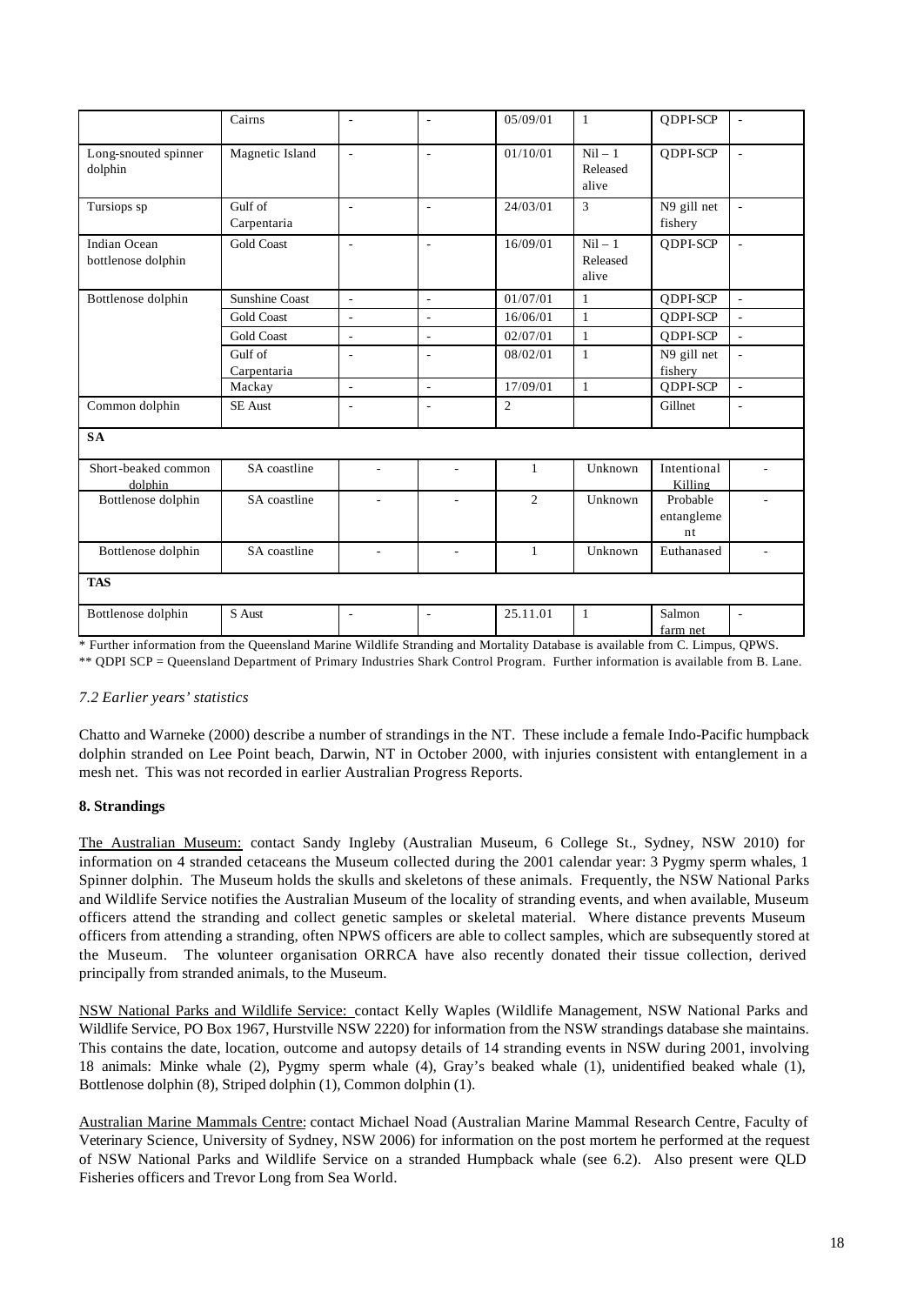|                                           | Cairns                 | $\overline{a}$           | ÷,                       | 05/09/01       | $\mathbf{1}$                   | <b>ODPI-SCP</b>              | $\overline{\phantom{a}}$ |
|-------------------------------------------|------------------------|--------------------------|--------------------------|----------------|--------------------------------|------------------------------|--------------------------|
| Long-snouted spinner<br>dolphin           | Magnetic Island        | $\overline{\phantom{a}}$ | $\overline{\phantom{a}}$ | 01/10/01       | $Nil - 1$<br>Released<br>alive | QDPI-SCP                     | $\overline{\phantom{a}}$ |
| Tursiops sp                               | Gulf of<br>Carpentaria | L,                       | L,                       | 24/03/01       | $\overline{3}$                 | N9 gill net<br>fishery       | ÷                        |
| <b>Indian Ocean</b><br>bottlenose dolphin | <b>Gold Coast</b>      | L,                       | ÷,                       | 16/09/01       | $Nil - 1$<br>Released<br>alive | QDPI-SCP                     | ÷.                       |
| Bottlenose dolphin                        | <b>Sunshine Coast</b>  | $\sim$                   | $\sim$                   | 01/07/01       | $\mathbf{1}$                   | QDPI-SCP                     | ÷.                       |
|                                           | <b>Gold Coast</b>      | $\overline{a}$           | $\overline{a}$           | 16/06/01       | $\mathbf{1}$                   | QDPI-SCP                     | $\overline{\phantom{a}}$ |
|                                           | <b>Gold Coast</b>      | L,                       | $\frac{1}{2}$            | 02/07/01       | $\mathbf{1}$                   | QDPI-SCP                     | L.                       |
|                                           | Gulf of<br>Carpentaria |                          | ÷,                       | 08/02/01       | $\mathbf{1}$                   | N9 gill net<br>fishery       | ÷.                       |
|                                           | Mackay                 | $\overline{\phantom{a}}$ | ä,                       | 17/09/01       | $\mathbf{1}$                   | QDPI-SCP                     | $\overline{\phantom{a}}$ |
| Common dolphin                            | <b>SE</b> Aust         | ä,                       | ä,                       | $\overline{2}$ |                                | Gillnet                      | ä,                       |
| <b>SA</b>                                 |                        |                          |                          |                |                                |                              |                          |
| Short-beaked common<br>dolphin            | SA coastline           |                          |                          | 1              | Unknown                        | Intentional<br>Killing       |                          |
| Bottlenose dolphin                        | SA coastline           | ÷.                       |                          | $\mathfrak{2}$ | Unknown                        | Probable<br>entangleme<br>nt |                          |
| Bottlenose dolphin                        | SA coastline           | ÷.                       | ٠                        | $\mathbf{1}$   | Unknown                        | Euthanased                   |                          |
| <b>TAS</b>                                |                        |                          |                          |                |                                |                              |                          |
| Bottlenose dolphin                        | S Aust                 | $\overline{\phantom{a}}$ | $\overline{\phantom{a}}$ | 25.11.01       | $\mathbf{1}$                   | Salmon<br>farm net           | $\overline{\phantom{a}}$ |

\* Further information from the Queensland Marine Wildlife Stranding and Mortality Database is available from C. Limpus, QPWS. \*\* QDPI SCP = Queensland Department of Primary Industries Shark Control Program. Further information is available from B. Lane.

# *7.2 Earlier years' statistics*

Chatto and Warneke (2000) describe a number of strandings in the NT. These include a female Indo-Pacific humpback dolphin stranded on Lee Point beach, Darwin, NT in October 2000, with injuries consistent with entanglement in a mesh net. This was not recorded in earlier Australian Progress Reports.

## **8. Strandings**

The Australian Museum: contact Sandy Ingleby (Australian Museum, 6 College St., Sydney, NSW 2010) for information on 4 stranded cetaceans the Museum collected during the 2001 calendar year: 3 Pygmy sperm whales, 1 Spinner dolphin. The Museum holds the skulls and skeletons of these animals. Frequently, the NSW National Parks and Wildlife Service notifies the Australian Museum of the locality of stranding events, and when available, Museum officers attend the stranding and collect genetic samples or skeletal material. Where distance prevents Museum officers from attending a stranding, often NPWS officers are able to collect samples, which are subsequently stored at the Museum. The volunteer organisation ORRCA have also recently donated their tissue collection, derived principally from stranded animals, to the Museum.

NSW National Parks and Wildlife Service: contact Kelly Waples (Wildlife Management, NSW National Parks and Wildlife Service, PO Box 1967, Hurstville NSW 2220) for information from the NSW strandings database she maintains. This contains the date, location, outcome and autopsy details of 14 stranding events in NSW during 2001, involving 18 animals: Minke whale (2), Pygmy sperm whale (4), Gray's beaked whale (1), unidentified beaked whale (1), Bottlenose dolphin (8), Striped dolphin (1), Common dolphin (1).

Australian Marine Mammals Centre: contact Michael Noad (Australian Marine Mammal Research Centre, Faculty of Veterinary Science, University of Sydney, NSW 2006) for information on the post mortem he performed at the request of NSW National Parks and Wildlife Service on a stranded Humpback whale (see 6.2). Also present were QLD Fisheries officers and Trevor Long from Sea World.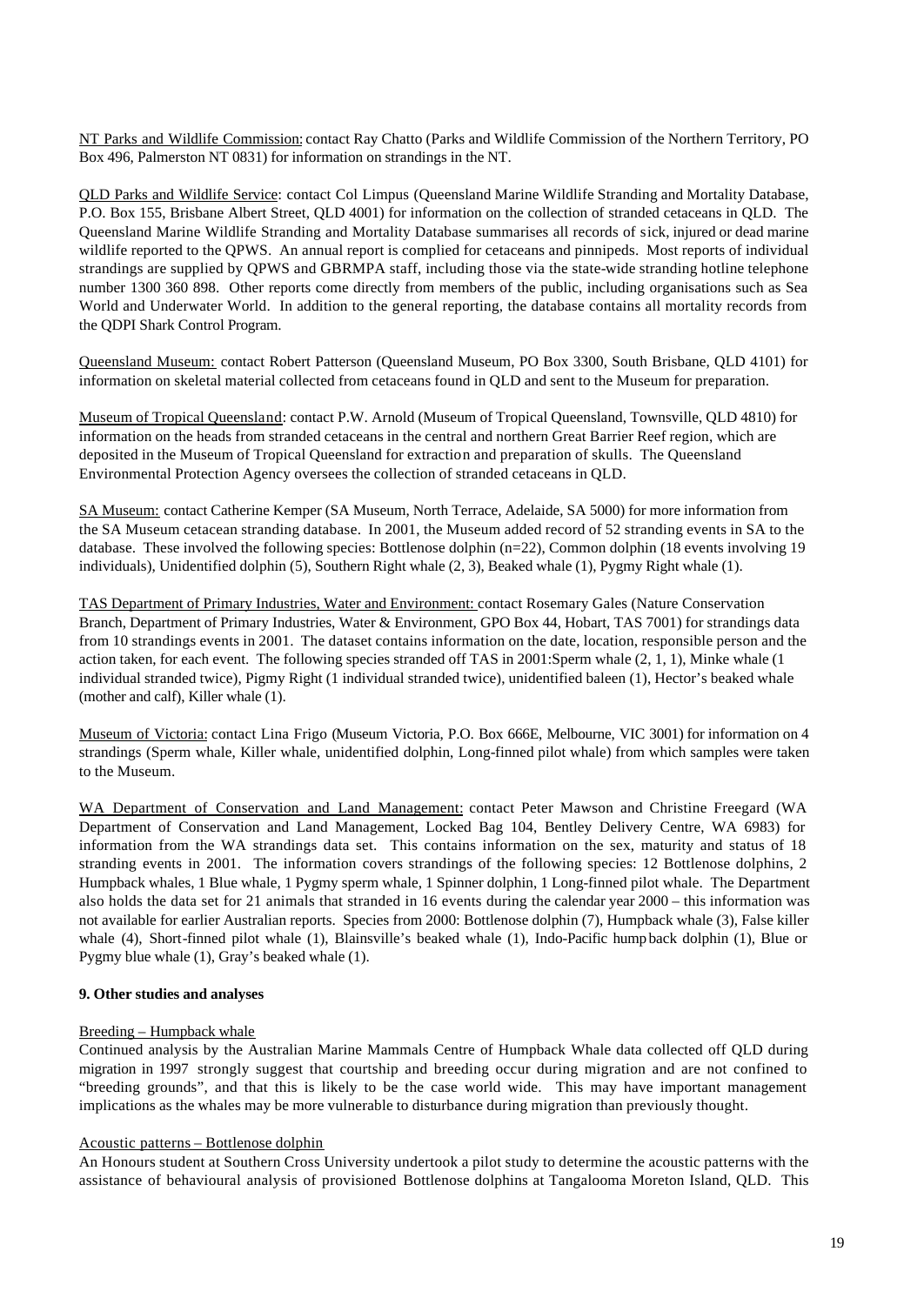NT Parks and Wildlife Commission: contact Ray Chatto (Parks and Wildlife Commission of the Northern Territory, PO Box 496, Palmerston NT 0831) for information on strandings in the NT.

QLD Parks and Wildlife Service: contact Col Limpus (Queensland Marine Wildlife Stranding and Mortality Database, P.O. Box 155, Brisbane Albert Street, QLD 4001) for information on the collection of stranded cetaceans in QLD. The Queensland Marine Wildlife Stranding and Mortality Database summarises all records of sick, injured or dead marine wildlife reported to the QPWS. An annual report is complied for cetaceans and pinnipeds. Most reports of individual strandings are supplied by QPWS and GBRMPA staff, including those via the state-wide stranding hotline telephone number 1300 360 898. Other reports come directly from members of the public, including organisations such as Sea World and Underwater World. In addition to the general reporting, the database contains all mortality records from the QDPI Shark Control Program.

Queensland Museum: contact Robert Patterson (Queensland Museum, PO Box 3300, South Brisbane, QLD 4101) for information on skeletal material collected from cetaceans found in QLD and sent to the Museum for preparation.

Museum of Tropical Queensland: contact P.W. Arnold (Museum of Tropical Queensland, Townsville, QLD 4810) for information on the heads from stranded cetaceans in the central and northern Great Barrier Reef region, which are deposited in the Museum of Tropical Queensland for extraction and preparation of skulls. The Queensland Environmental Protection Agency oversees the collection of stranded cetaceans in QLD.

SA Museum: contact Catherine Kemper (SA Museum, North Terrace, Adelaide, SA 5000) for more information from the SA Museum cetacean stranding database. In 2001, the Museum added record of 52 stranding events in SA to the database. These involved the following species: Bottlenose dolphin (n=22), Common dolphin (18 events involving 19 individuals), Unidentified dolphin (5), Southern Right whale (2, 3), Beaked whale (1), Pygmy Right whale (1).

TAS Department of Primary Industries, Water and Environment: contact Rosemary Gales (Nature Conservation Branch, Department of Primary Industries, Water & Environment, GPO Box 44, Hobart, TAS 7001) for strandings data from 10 strandings events in 2001. The dataset contains information on the date, location, responsible person and the action taken, for each event. The following species stranded off TAS in 2001:Sperm whale (2, 1, 1), Minke whale (1 individual stranded twice), Pigmy Right (1 individual stranded twice), unidentified baleen (1), Hector's beaked whale (mother and calf), Killer whale (1).

Museum of Victoria: contact Lina Frigo (Museum Victoria, P.O. Box 666E, Melbourne, VIC 3001) for information on 4 strandings (Sperm whale, Killer whale, unidentified dolphin, Long-finned pilot whale) from which samples were taken to the Museum.

WA Department of Conservation and Land Management: contact Peter Mawson and Christine Freegard (WA Department of Conservation and Land Management, Locked Bag 104, Bentley Delivery Centre, WA 6983) for information from the WA strandings data set. This contains information on the sex, maturity and status of 18 stranding events in 2001. The information covers strandings of the following species: 12 Bottlenose dolphins, 2 Humpback whales, 1 Blue whale, 1 Pygmy sperm whale, 1 Spinner dolphin, 1 Long-finned pilot whale. The Department also holds the data set for 21 animals that stranded in 16 events during the calendar year 2000 – this information was not available for earlier Australian reports. Species from 2000: Bottlenose dolphin (7), Humpback whale (3), False killer whale (4), Short-finned pilot whale (1), Blainsville's beaked whale (1), Indo-Pacific hump back dolphin (1), Blue or Pygmy blue whale (1), Gray's beaked whale (1).

### **9. Other studies and analyses**

### Breeding – Humpback whale

Continued analysis by the Australian Marine Mammals Centre of Humpback Whale data collected off QLD during migration in 1997 strongly suggest that courtship and breeding occur during migration and are not confined to "breeding grounds", and that this is likely to be the case world wide. This may have important management implications as the whales may be more vulnerable to disturbance during migration than previously thought.

### Acoustic patterns – Bottlenose dolphin

An Honours student at Southern Cross University undertook a pilot study to determine the acoustic patterns with the assistance of behavioural analysis of provisioned Bottlenose dolphins at Tangalooma Moreton Island, QLD. This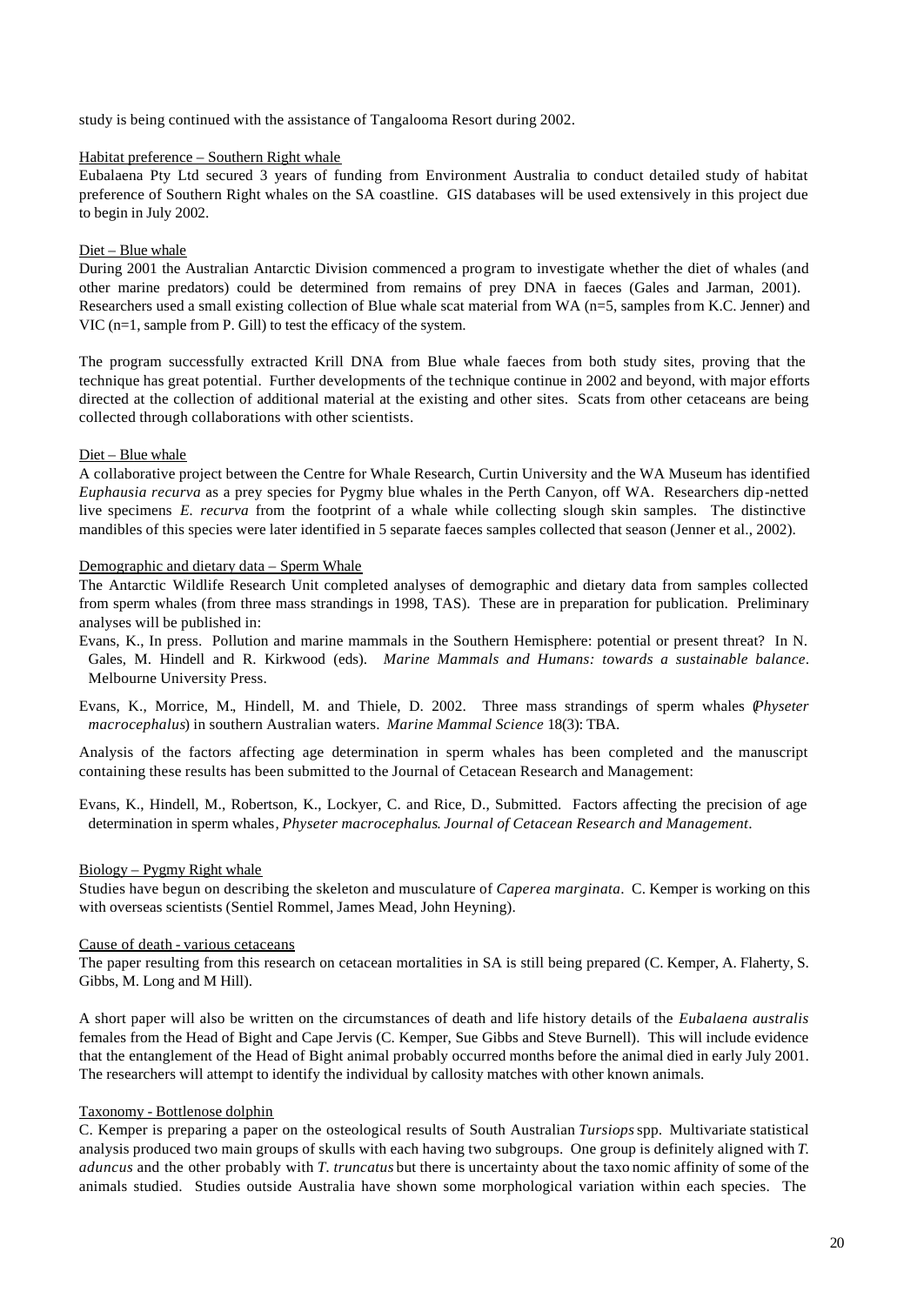study is being continued with the assistance of Tangalooma Resort during 2002.

## Habitat preference – Southern Right whale

Eubalaena Pty Ltd secured 3 years of funding from Environment Australia to conduct detailed study of habitat preference of Southern Right whales on the SA coastline. GIS databases will be used extensively in this project due to begin in July 2002.

## Diet – Blue whale

During 2001 the Australian Antarctic Division commenced a program to investigate whether the diet of whales (and other marine predators) could be determined from remains of prey DNA in faeces (Gales and Jarman, 2001). Researchers used a small existing collection of Blue whale scat material from WA (n=5, samples from K.C. Jenner) and VIC (n=1, sample from P. Gill) to test the efficacy of the system.

The program successfully extracted Krill DNA from Blue whale faeces from both study sites, proving that the technique has great potential. Further developments of the technique continue in 2002 and beyond, with major efforts directed at the collection of additional material at the existing and other sites. Scats from other cetaceans are being collected through collaborations with other scientists.

### Diet – Blue whale

A collaborative project between the Centre for Whale Research, Curtin University and the WA Museum has identified *Euphausia recurva* as a prey species for Pygmy blue whales in the Perth Canyon, off WA. Researchers dip-netted live specimens *E. recurva* from the footprint of a whale while collecting slough skin samples. The distinctive mandibles of this species were later identified in 5 separate faeces samples collected that season (Jenner et al., 2002).

## Demographic and dietary data – Sperm Whale

The Antarctic Wildlife Research Unit completed analyses of demographic and dietary data from samples collected from sperm whales (from three mass strandings in 1998, TAS). These are in preparation for publication. Preliminary analyses will be published in:

- Evans, K., In press. Pollution and marine mammals in the Southern Hemisphere: potential or present threat? In N. Gales, M. Hindell and R. Kirkwood (eds). *Marine Mammals and Humans: towards a sustainable balance*. Melbourne University Press.
- Evans, K., Morrice, M., Hindell, M. and Thiele, D. 2002. Three mass strandings of sperm whales (*Physeter macrocephalus*) in southern Australian waters. *Marine Mammal Science* 18(3): TBA.

Analysis of the factors affecting age determination in sperm whales has been completed and the manuscript containing these results has been submitted to the Journal of Cetacean Research and Management:

Evans, K., Hindell, M., Robertson, K., Lockyer, C. and Rice, D., Submitted. Factors affecting the precision of age determination in sperm whales, *Physeter macrocephalus*. *Journal of Cetacean Research and Management*.

## Biology – Pygmy Right whale

Studies have begun on describing the skeleton and musculature of *Caperea marginata*. C. Kemper is working on this with overseas scientists (Sentiel Rommel, James Mead, John Heyning).

### Cause of death - various cetaceans

The paper resulting from this research on cetacean mortalities in SA is still being prepared (C. Kemper, A. Flaherty, S. Gibbs, M. Long and M Hill).

A short paper will also be written on the circumstances of death and life history details of the *Eubalaena australis* females from the Head of Bight and Cape Jervis (C. Kemper, Sue Gibbs and Steve Burnell). This will include evidence that the entanglement of the Head of Bight animal probably occurred months before the animal died in early July 2001. The researchers will attempt to identify the individual by callosity matches with other known animals.

## Taxonomy - Bottlenose dolphin

C. Kemper is preparing a paper on the osteological results of South Australian *Tursiops* spp. Multivariate statistical analysis produced two main groups of skulls with each having two subgroups. One group is definitely aligned with *T. aduncus* and the other probably with *T. truncatus* but there is uncertainty about the taxo nomic affinity of some of the animals studied. Studies outside Australia have shown some morphological variation within each species. The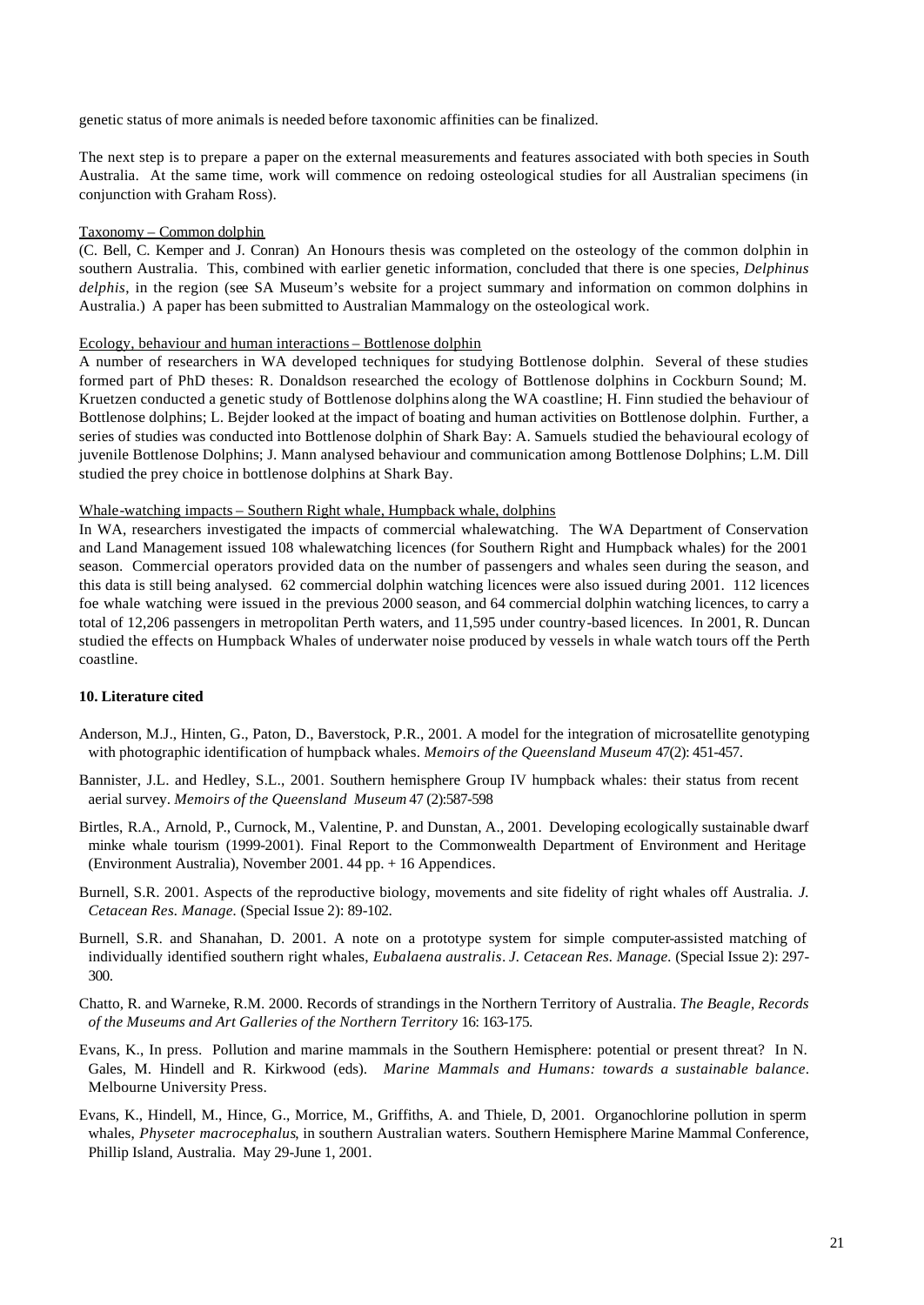genetic status of more animals is needed before taxonomic affinities can be finalized.

The next step is to prepare a paper on the external measurements and features associated with both species in South Australia. At the same time, work will commence on redoing osteological studies for all Australian specimens (in conjunction with Graham Ross).

### Taxonomy – Common dolphin

(C. Bell, C. Kemper and J. Conran) An Honours thesis was completed on the osteology of the common dolphin in southern Australia. This, combined with earlier genetic information, concluded that there is one species, *Delphinus delphis*, in the region (see SA Museum's website for a project summary and information on common dolphins in Australia.) A paper has been submitted to Australian Mammalogy on the osteological work.

#### Ecology, behaviour and human interactions – Bottlenose dolphin

A number of researchers in WA developed techniques for studying Bottlenose dolphin. Several of these studies formed part of PhD theses: R. Donaldson researched the ecology of Bottlenose dolphins in Cockburn Sound; M. Kruetzen conducted a genetic study of Bottlenose dolphins along the WA coastline; H. Finn studied the behaviour of Bottlenose dolphins; L. Bejder looked at the impact of boating and human activities on Bottlenose dolphin. Further, a series of studies was conducted into Bottlenose dolphin of Shark Bay: A. Samuels studied the behavioural ecology of juvenile Bottlenose Dolphins; J. Mann analysed behaviour and communication among Bottlenose Dolphins; L.M. Dill studied the prey choice in bottlenose dolphins at Shark Bay.

### Whale-watching impacts – Southern Right whale, Humpback whale, dolphins

In WA, researchers investigated the impacts of commercial whalewatching. The WA Department of Conservation and Land Management issued 108 whalewatching licences (for Southern Right and Humpback whales) for the 2001 season. Commercial operators provided data on the number of passengers and whales seen during the season, and this data is still being analysed. 62 commercial dolphin watching licences were also issued during 2001. 112 licences foe whale watching were issued in the previous 2000 season, and 64 commercial dolphin watching licences, to carry a total of 12,206 passengers in metropolitan Perth waters, and 11,595 under country-based licences. In 2001, R. Duncan studied the effects on Humpback Whales of underwater noise produced by vessels in whale watch tours off the Perth coastline.

### **10. Literature cited**

- Anderson, M.J., Hinten, G., Paton, D., Baverstock, P.R., 2001. A model for the integration of microsatellite genotyping with photographic identification of humpback whales. *Memoirs of the Queensland Museum* 47(2): 451-457.
- Bannister, J.L. and Hedley, S.L., 2001. Southern hemisphere Group IV humpback whales: their status from recent aerial survey. *Memoirs of the Queensland Museum* 47 (2):587-598
- Birtles, R.A., Arnold, P., Curnock, M., Valentine, P. and Dunstan, A., 2001. Developing ecologically sustainable dwarf minke whale tourism (1999-2001). Final Report to the Commonwealth Department of Environment and Heritage (Environment Australia), November 2001. 44 pp. + 16 Appendices.
- Burnell, S.R. 2001. Aspects of the reproductive biology, movements and site fidelity of right whales off Australia. *J. Cetacean Res. Manage.* (Special Issue 2): 89-102.
- Burnell, S.R. and Shanahan, D. 2001. A note on a prototype system for simple computer-assisted matching of individually identified southern right whales, *Eubalaena australis*. *J. Cetacean Res. Manage.* (Special Issue 2): 297- 300.
- Chatto, R. and Warneke, R.M. 2000. Records of strandings in the Northern Territory of Australia. *The Beagle, Records of the Museums and Art Galleries of the Northern Territory* 16: 163-175.
- Evans, K., In press. Pollution and marine mammals in the Southern Hemisphere: potential or present threat? In N. Gales, M. Hindell and R. Kirkwood (eds). *Marine Mammals and Humans: towards a sustainable balance*. Melbourne University Press.
- Evans, K., Hindell, M., Hince, G., Morrice, M., Griffiths, A. and Thiele, D, 2001. Organochlorine pollution in sperm whales, *Physeter macrocephalus*, in southern Australian waters. Southern Hemisphere Marine Mammal Conference, Phillip Island, Australia. May 29-June 1, 2001.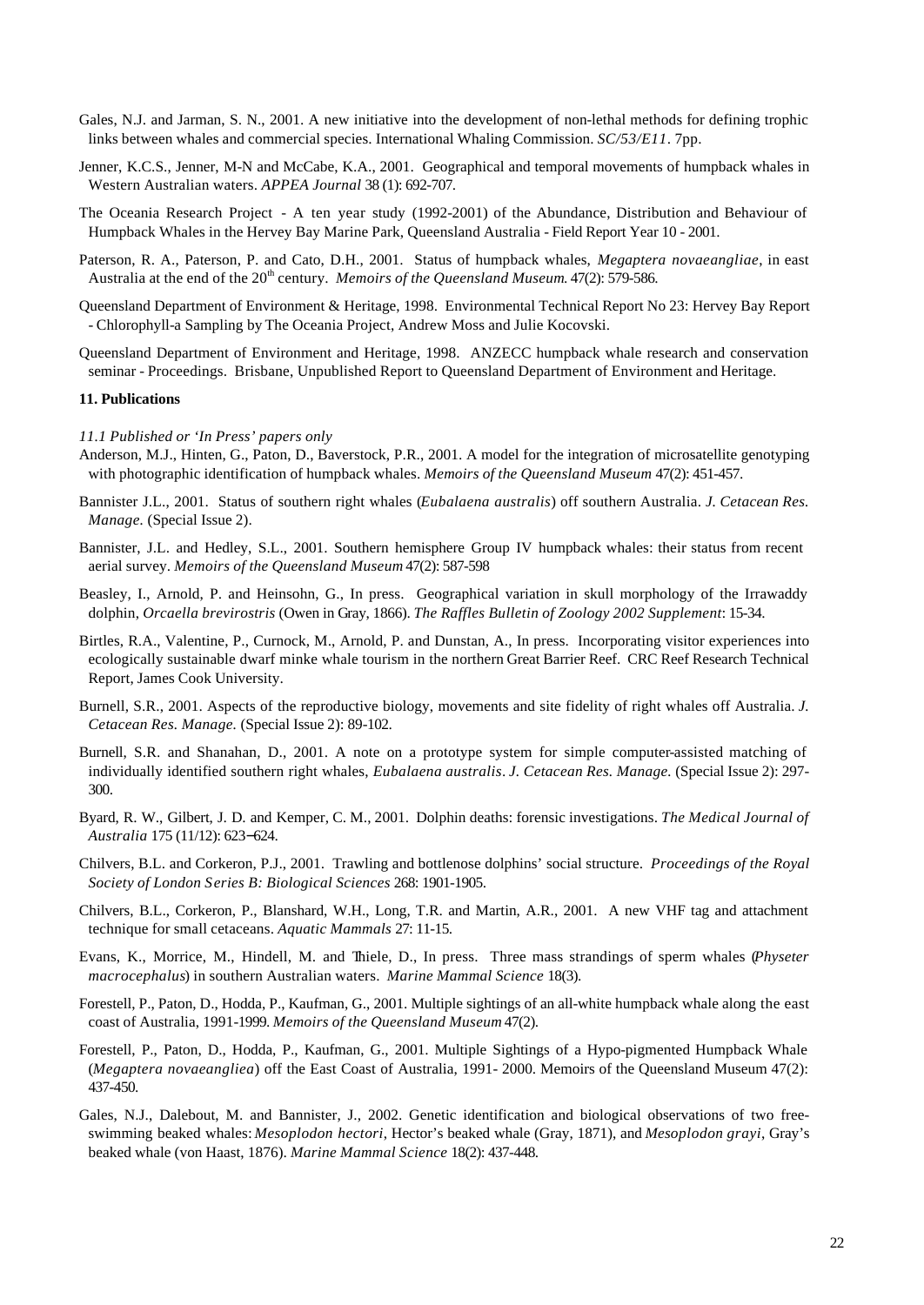- Gales, N.J. and Jarman, S. N., 2001. A new initiative into the development of non-lethal methods for defining trophic links between whales and commercial species. International Whaling Commission. *SC/53/E11*. 7pp.
- Jenner, K.C.S., Jenner, M-N and McCabe, K.A., 2001. Geographical and temporal movements of humpback whales in Western Australian waters. *APPEA Journal* 38 (1): 692-707.
- The Oceania Research Project A ten year study (1992-2001) of the Abundance, Distribution and Behaviour of Humpback Whales in the Hervey Bay Marine Park, Queensland Australia - Field Report Year 10 - 2001.
- Paterson, R. A., Paterson, P. and Cato, D.H., 2001. Status of humpback whales, *Megaptera novaeangliae*, in east Australia at the end of the 20<sup>th</sup> century. *Memoirs of the Queensland Museum.* 47(2): 579-586.
- Queensland Department of Environment & Heritage, 1998. Environmental Technical Report No 23: Hervey Bay Report - Chlorophyll-a Sampling by The Oceania Project, Andrew Moss and Julie Kocovski.
- Queensland Department of Environment and Heritage, 1998. ANZECC humpback whale research and conservation seminar - Proceedings. Brisbane, Unpublished Report to Queensland Department of Environment and Heritage.

### **11. Publications**

- *11.1 Published or 'In Press' papers only*
- Anderson, M.J., Hinten, G., Paton, D., Baverstock, P.R., 2001. A model for the integration of microsatellite genotyping with photographic identification of humpback whales. *Memoirs of the Queensland Museum* 47(2): 451-457.
- Bannister J.L., 2001. Status of southern right whales (*Eubalaena australis*) off southern Australia. *J. Cetacean Res. Manage.* (Special Issue 2).
- Bannister, J.L. and Hedley, S.L., 2001. Southern hemisphere Group IV humpback whales: their status from recent aerial survey. *Memoirs of the Queensland Museum* 47(2): 587-598
- Beasley, I., Arnold, P. and Heinsohn, G., In press. Geographical variation in skull morphology of the Irrawaddy dolphin, *Orcaella brevirostris* (Owen in Gray, 1866). *The Raffles Bulletin of Zoology 2002 Supplement*: 15-34.
- Birtles, R.A., Valentine, P., Curnock, M., Arnold, P. and Dunstan, A., In press. Incorporating visitor experiences into ecologically sustainable dwarf minke whale tourism in the northern Great Barrier Reef. CRC Reef Research Technical Report, James Cook University.
- Burnell, S.R., 2001. Aspects of the reproductive biology, movements and site fidelity of right whales off Australia. *J. Cetacean Res. Manage.* (Special Issue 2): 89-102.
- Burnell, S.R. and Shanahan, D., 2001. A note on a prototype system for simple computer-assisted matching of individually identified southern right whales, *Eubalaena australis*. *J. Cetacean Res. Manage.* (Special Issue 2): 297- 300.
- Byard, R. W., Gilbert, J. D. and Kemper, C. M., 2001. Dolphin deaths: forensic investigations. *The Medical Journal of Australia* 175 (11/12): 623−624.
- Chilvers, B.L. and Corkeron, P.J., 2001. Trawling and bottlenose dolphins' social structure. *Proceedings of the Royal Society of London Series B: Biological Sciences* 268: 1901-1905.
- Chilvers, B.L., Corkeron, P., Blanshard, W.H., Long, T.R. and Martin, A.R., 2001. A new VHF tag and attachment technique for small cetaceans. *Aquatic Mammals* 27: 11-15.
- Evans, K., Morrice, M., Hindell, M. and Thiele, D., In press. Three mass strandings of sperm whales (*Physeter macrocephalus*) in southern Australian waters. *Marine Mammal Science* 18(3).
- Forestell, P., Paton, D., Hodda, P., Kaufman, G., 2001. Multiple sightings of an all-white humpback whale along the east coast of Australia, 1991-1999. *Memoirs of the Queensland Museum* 47(2).
- Forestell, P., Paton, D., Hodda, P., Kaufman, G., 2001. Multiple Sightings of a Hypo-pigmented Humpback Whale (*Megaptera novaeangliea*) off the East Coast of Australia, 1991- 2000. Memoirs of the Queensland Museum 47(2): 437-450.
- Gales, N.J., Dalebout, M. and Bannister, J., 2002. Genetic identification and biological observations of two freeswimming beaked whales: *Mesoplodon hectori*, Hector's beaked whale (Gray, 1871), and *Mesoplodon grayi*, Gray's beaked whale (von Haast, 1876). *Marine Mammal Science* 18(2): 437-448.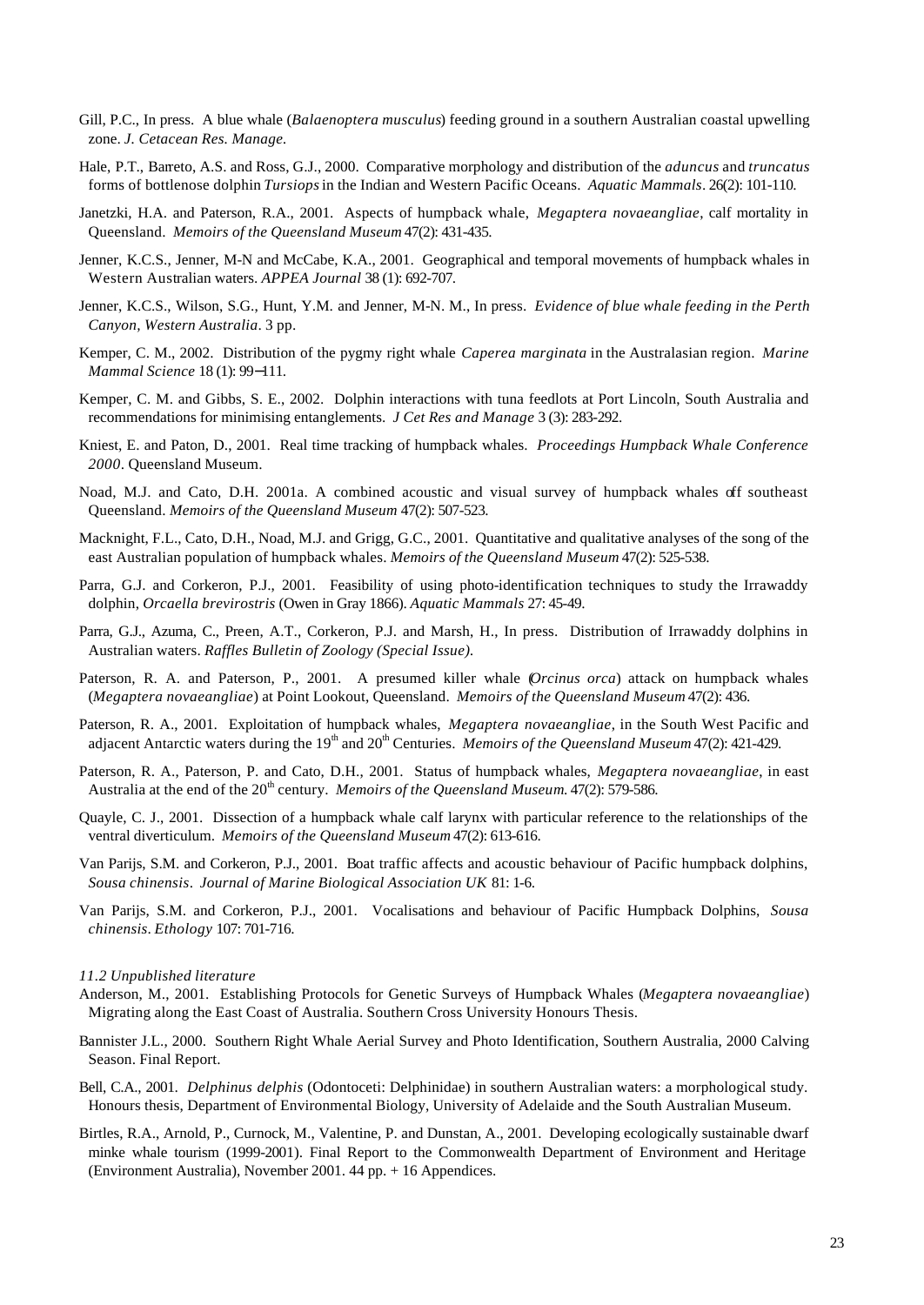- Gill, P.C., In press. A blue whale (*Balaenoptera musculus*) feeding ground in a southern Australian coastal upwelling zone. *J. Cetacean Res. Manage.*
- Hale, P.T., Barreto, A.S. and Ross, G.J., 2000. Comparative morphology and distribution of the *aduncus* and *truncatus* forms of bottlenose dolphin *Tursiops* in the Indian and Western Pacific Oceans. *Aquatic Mammals*. 26(2): 101-110.
- Janetzki, H.A. and Paterson, R.A., 2001. Aspects of humpback whale, *Megaptera novaeangliae*, calf mortality in Queensland. *Memoirs of the Queensland Museum* 47(2): 431-435.
- Jenner, K.C.S., Jenner, M-N and McCabe, K.A., 2001. Geographical and temporal movements of humpback whales in Western Australian waters. *APPEA Journal* 38 (1): 692-707.
- Jenner, K.C.S., Wilson, S.G., Hunt, Y.M. and Jenner, M-N. M., In press. *Evidence of blue whale feeding in the Perth Canyon, Western Australia*. 3 pp.
- Kemper, C. M., 2002. Distribution of the pygmy right whale *Caperea marginata* in the Australasian region. *Marine Mammal Science* 18 (1): 99−111.
- Kemper, C. M. and Gibbs, S. E., 2002. Dolphin interactions with tuna feedlots at Port Lincoln, South Australia and recommendations for minimising entanglements. *J Cet Res and Manage* 3 (3): 283-292.
- Kniest, E. and Paton, D., 2001. Real time tracking of humpback whales. *Proceedings Humpback Whale Conference 2000*. Queensland Museum.
- Noad, M.J. and Cato, D.H. 2001a. A combined acoustic and visual survey of humpback whales off southeast Queensland. *Memoirs of the Queensland Museum* 47(2): 507-523.
- Macknight, F.L., Cato, D.H., Noad, M.J. and Grigg, G.C., 2001. Quantitative and qualitative analyses of the song of the east Australian population of humpback whales. *Memoirs of the Queensland Museum* 47(2): 525-538.
- Parra, G.J. and Corkeron, P.J., 2001. Feasibility of using photo-identification techniques to study the Irrawaddy dolphin, *Orcaella brevirostris* (Owen in Gray 1866). *Aquatic Mammals* 27: 45-49.
- Parra, G.J., Azuma, C., Preen, A.T., Corkeron, P.J. and Marsh, H., In press. Distribution of Irrawaddy dolphins in Australian waters. *Raffles Bulletin of Zoology (Special Issue).*
- Paterson, R. A. and Paterson, P., 2001. A presumed killer whale (*Orcinus orca*) attack on humpback whales (*Megaptera novaeangliae*) at Point Lookout, Queensland. *Memoirs of the Queensland Museum* 47(2): 436.
- Paterson, R. A., 2001. Exploitation of humpback whales, *Megaptera novaeangliae*, in the South West Pacific and adjacent Antarctic waters during the 19<sup>th</sup> and 20<sup>th</sup> Centuries. *Memoirs of the Queensland Museum* 47(2): 421-429.
- Paterson, R. A., Paterson, P. and Cato, D.H., 2001. Status of humpback whales, *Megaptera novaeangliae*, in east Australia at the end of the 20<sup>th</sup> century. *Memoirs of the Queensland Museum.* 47(2): 579-586.
- Quayle, C. J., 2001. Dissection of a humpback whale calf larynx with particular reference to the relationships of the ventral diverticulum. *Memoirs of the Queensland Museum* 47(2): 613-616.
- Van Parijs, S.M. and Corkeron, P.J., 2001. Boat traffic affects and acoustic behaviour of Pacific humpback dolphins, *Sousa chinensis*. *Journal of Marine Biological Association UK* 81: 1-6.
- Van Parijs, S.M. and Corkeron, P.J., 2001. Vocalisations and behaviour of Pacific Humpback Dolphins, *Sousa chinensis*. *Ethology* 107: 701-716.

#### *11.2 Unpublished literature*

- Anderson, M., 2001. Establishing Protocols for Genetic Surveys of Humpback Whales (*Megaptera novaeangliae*) Migrating along the East Coast of Australia. Southern Cross University Honours Thesis.
- Bannister J.L., 2000. Southern Right Whale Aerial Survey and Photo Identification, Southern Australia, 2000 Calving Season. Final Report.
- Bell, C.A., 2001. *Delphinus delphis* (Odontoceti: Delphinidae) in southern Australian waters: a morphological study. Honours thesis, Department of Environmental Biology, University of Adelaide and the South Australian Museum.
- Birtles, R.A., Arnold, P., Curnock, M., Valentine, P. and Dunstan, A., 2001. Developing ecologically sustainable dwarf minke whale tourism (1999-2001). Final Report to the Commonwealth Department of Environment and Heritage (Environment Australia), November 2001. 44 pp. + 16 Appendices.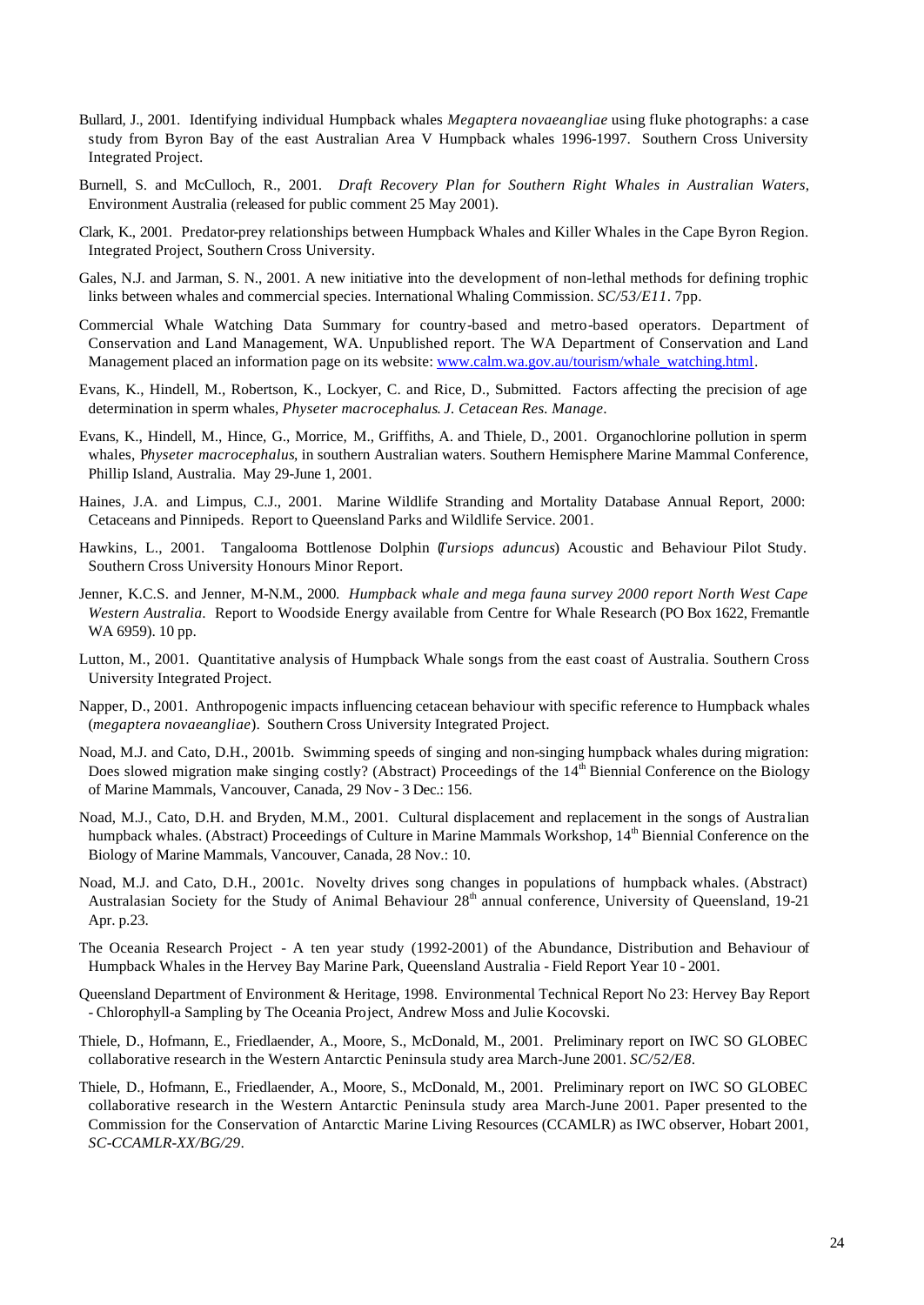- Bullard, J., 2001. Identifying individual Humpback whales *Megaptera novaeangliae* using fluke photographs: a case study from Byron Bay of the east Australian Area V Humpback whales 1996-1997. Southern Cross University Integrated Project.
- Burnell, S. and McCulloch, R., 2001. *Draft Recovery Plan for Southern Right Whales in Australian Waters*, Environment Australia (released for public comment 25 May 2001).
- Clark, K., 2001. Predator-prey relationships between Humpback Whales and Killer Whales in the Cape Byron Region. Integrated Project, Southern Cross University.
- Gales, N.J. and Jarman, S. N., 2001. A new initiative into the development of non-lethal methods for defining trophic links between whales and commercial species. International Whaling Commission. *SC/53/E11*. 7pp.
- Commercial Whale Watching Data Summary for country-based and metro-based operators. Department of Conservation and Land Management, WA. Unpublished report. The WA Department of Conservation and Land Management placed an information page on its website: www.calm.wa.gov.au/tourism/whale\_watching.html.
- Evans, K., Hindell, M., Robertson, K., Lockyer, C. and Rice, D., Submitted. Factors affecting the precision of age determination in sperm whales, *Physeter macrocephalus*. *J. Cetacean Res. Manage*.
- Evans, K., Hindell, M., Hince, G., Morrice, M., Griffiths, A. and Thiele, D., 2001. Organochlorine pollution in sperm whales, P*hyseter macrocephalus*, in southern Australian waters. Southern Hemisphere Marine Mammal Conference, Phillip Island, Australia. May 29-June 1, 2001.
- Haines, J.A. and Limpus, C.J., 2001. Marine Wildlife Stranding and Mortality Database Annual Report, 2000: Cetaceans and Pinnipeds. Report to Queensland Parks and Wildlife Service. 2001.
- Hawkins, L., 2001. Tangalooma Bottlenose Dolphin (*Tursiops aduncus*) Acoustic and Behaviour Pilot Study. Southern Cross University Honours Minor Report.
- Jenner, K.C.S. and Jenner, M-N.M., 2000. *Humpback whale and mega fauna survey 2000 report North West Cape Western Australia*. Report to Woodside Energy available from Centre for Whale Research (PO Box 1622, Fremantle WA 6959). 10 pp.
- Lutton, M., 2001. Quantitative analysis of Humpback Whale songs from the east coast of Australia. Southern Cross University Integrated Project.
- Napper, D., 2001. Anthropogenic impacts influencing cetacean behaviour with specific reference to Humpback whales (*megaptera novaeangliae*). Southern Cross University Integrated Project.
- Noad, M.J. and Cato, D.H., 2001b. Swimming speeds of singing and non-singing humpback whales during migration: Does slowed migration make singing costly? (Abstract) Proceedings of the  $14<sup>th</sup>$  Biennial Conference on the Biology of Marine Mammals, Vancouver, Canada, 29 Nov - 3 Dec.: 156.
- Noad, M.J., Cato, D.H. and Bryden, M.M., 2001. Cultural displacement and replacement in the songs of Australian humpback whales. (Abstract) Proceedings of Culture in Marine Mammals Workshop, 14<sup>th</sup> Biennial Conference on the Biology of Marine Mammals, Vancouver, Canada, 28 Nov.: 10.
- Noad, M.J. and Cato, D.H., 2001c. Novelty drives song changes in populations of humpback whales. (Abstract) Australasian Society for the Study of Animal Behaviour  $28<sup>th</sup>$  annual conference, University of Queensland, 19-21 Apr. p.23.
- The Oceania Research Project A ten year study (1992-2001) of the Abundance, Distribution and Behaviour of Humpback Whales in the Hervey Bay Marine Park, Queensland Australia - Field Report Year 10 - 2001.
- Queensland Department of Environment & Heritage, 1998. Environmental Technical Report No 23: Hervey Bay Report - Chlorophyll-a Sampling by The Oceania Project, Andrew Moss and Julie Kocovski.
- Thiele, D., Hofmann, E., Friedlaender, A., Moore, S., McDonald, M., 2001. Preliminary report on IWC SO GLOBEC collaborative research in the Western Antarctic Peninsula study area March-June 2001. *SC/52/E8*.
- Thiele, D., Hofmann, E., Friedlaender, A., Moore, S., McDonald, M., 2001. Preliminary report on IWC SO GLOBEC collaborative research in the Western Antarctic Peninsula study area March-June 2001. Paper presented to the Commission for the Conservation of Antarctic Marine Living Resources (CCAMLR) as IWC observer, Hobart 2001, *SC-CCAMLR-XX/BG/29*.